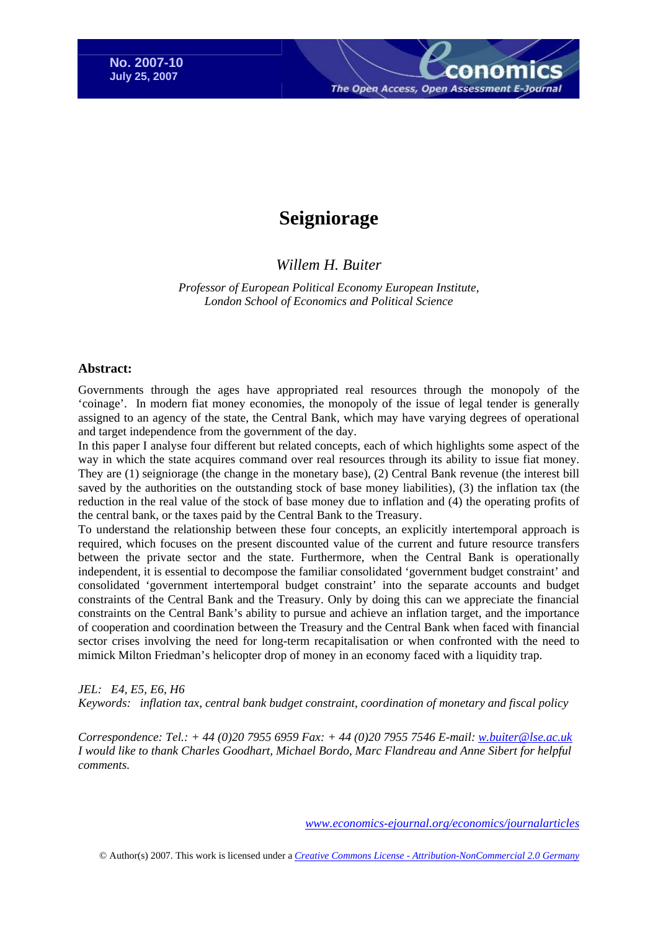The Open Access, Open Assessment E-

# **Seigniorage**

# *[Willem H. Buiter](http://www.nber.org/%7Ewbuiter)*

*Professor of European Political Economy European Institute, London School of Economics and Political Science*

### **Abstract:**

Governments through the ages have appropriated real resources through the monopoly of the 'coinage'. In modern fiat money economies, the monopoly of the issue of legal tender is generally assigned to an agency of the state, the Central Bank, which may have varying degrees of operational and target independence from the government of the day.

In this paper I analyse four different but related concepts, each of which highlights some aspect of the way in which the state acquires command over real resources through its ability to issue fiat money. They are (1) seigniorage (the change in the monetary base), (2) Central Bank revenue (the interest bill saved by the authorities on the outstanding stock of base money liabilities), (3) the inflation tax (the reduction in the real value of the stock of base money due to inflation and (4) the operating profits of the central bank, or the taxes paid by the Central Bank to the Treasury.

To understand the relationship between these four concepts, an explicitly intertemporal approach is required, which focuses on the present discounted value of the current and future resource transfers between the private sector and the state. Furthermore, when the Central Bank is operationally independent, it is essential to decompose the familiar consolidated 'government budget constraint' and consolidated 'government intertemporal budget constraint' into the separate accounts and budget constraints of the Central Bank and the Treasury. Only by doing this can we appreciate the financial constraints on the Central Bank's ability to pursue and achieve an inflation target, and the importance of cooperation and coordination between the Treasury and the Central Bank when faced with financial sector crises involving the need for long-term recapitalisation or when confronted with the need to mimick Milton Friedman's helicopter drop of money in an economy faced with a liquidity trap.

### *JEL: E4, E5, E6, H6*

*Keywords: inflation tax, central bank budget constraint, coordination of monetary and fiscal policy* 

*Correspondence: Tel.: + 44 (0)20 7955 6959 Fax: + 44 (0)20 7955 7546 E-mail: [w.buiter@lse.ac.uk](mailto:w.buiter@lse.ac.uk) I would like to thank Charles Goodhart, Michael Bordo, Marc Flandreau and Anne Sibert for helpful comments.* 

*[www.economics-ejournal.org/economics/journalarticles](http://www.economics-ejournal.org/economics/journalarticles)*

© Author(s) 2007. This work is licensed under a *[Creative Commons License - Attribution-NonCommercial 2.0 Germany](http://creativecommons.org/licenses/by-nc/2.0/de/deed.en)*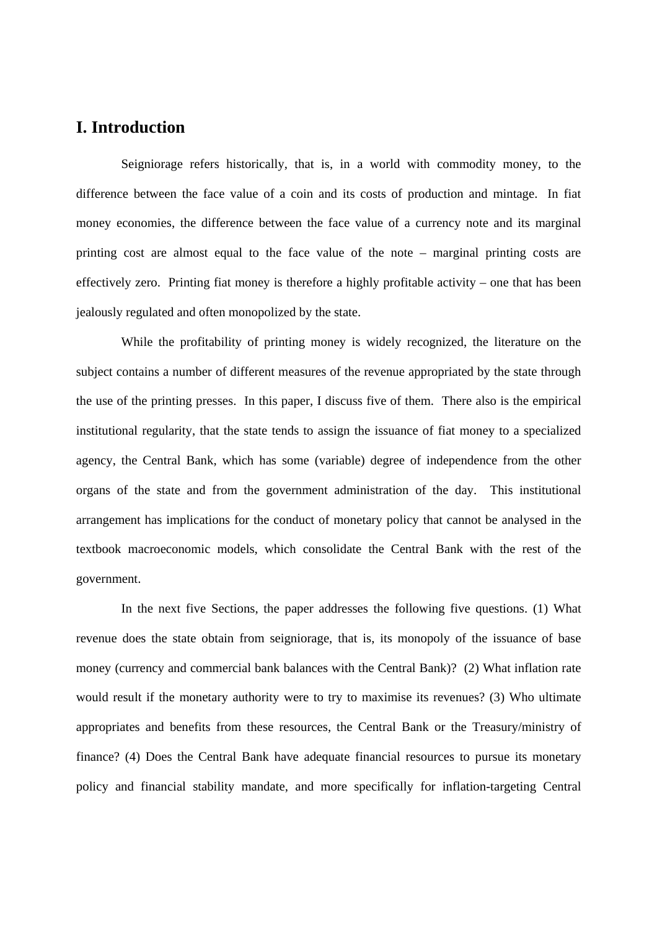# **I. Introduction**

 Seigniorage refers historically, that is, in a world with commodity money, to the difference between the face value of a coin and its costs of production and mintage. In fiat money economies, the difference between the face value of a currency note and its marginal printing cost are almost equal to the face value of the note – marginal printing costs are effectively zero. Printing fiat money is therefore a highly profitable activity – one that has been jealously regulated and often monopolized by the state.

 While the profitability of printing money is widely recognized, the literature on the subject contains a number of different measures of the revenue appropriated by the state through the use of the printing presses. In this paper, I discuss five of them. There also is the empirical institutional regularity, that the state tends to assign the issuance of fiat money to a specialized agency, the Central Bank, which has some (variable) degree of independence from the other organs of the state and from the government administration of the day. This institutional arrangement has implications for the conduct of monetary policy that cannot be analysed in the textbook macroeconomic models, which consolidate the Central Bank with the rest of the government.

 In the next five Sections, the paper addresses the following five questions. (1) What revenue does the state obtain from seigniorage, that is, its monopoly of the issuance of base money (currency and commercial bank balances with the Central Bank)? (2) What inflation rate would result if the monetary authority were to try to maximise its revenues? (3) Who ultimate appropriates and benefits from these resources, the Central Bank or the Treasury/ministry of finance? (4) Does the Central Bank have adequate financial resources to pursue its monetary policy and financial stability mandate, and more specifically for inflation-targeting Central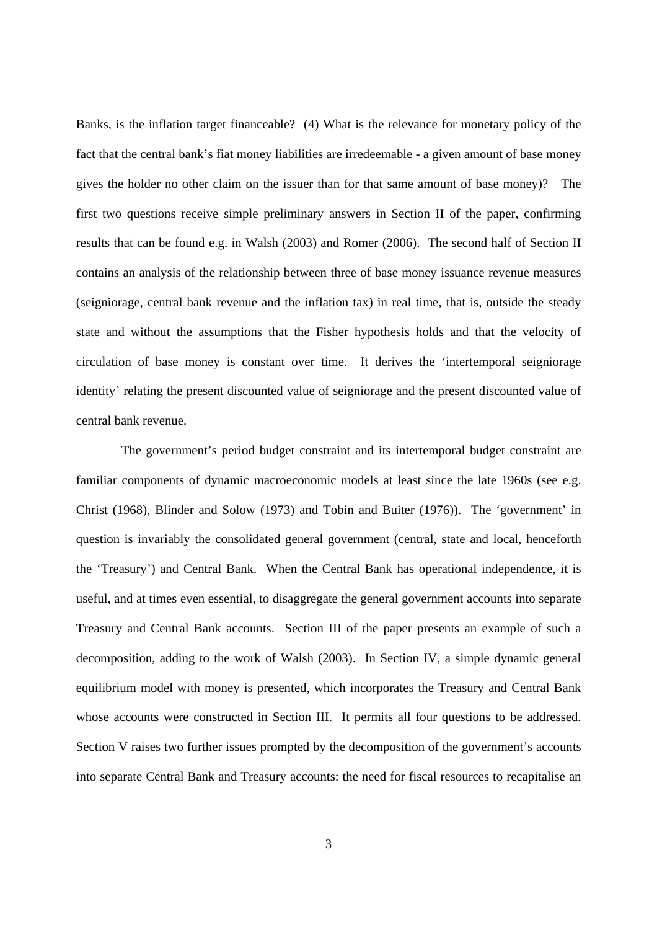Banks, is the inflation target financeable? (4) What is the relevance for monetary policy of the fact that the central bank's fiat money liabilities are irredeemable - a given amount of base money gives the holder no other claim on the issuer than for that same amount of base money)? The first two questions receive simple preliminary answers in Section II of the paper, confirming results that can be found e.g. in Walsh (2003) and Romer (2006). The second half of Section II contains an analysis of the relationship between three of base money issuance revenue measures (seigniorage, central bank revenue and the inflation tax) in real time, that is, outside the steady state and without the assumptions that the Fisher hypothesis holds and that the velocity of circulation of base money is constant over time. It derives the 'intertemporal seigniorage identity' relating the present discounted value of seigniorage and the present discounted value of central bank revenue.

 The government's period budget constraint and its intertemporal budget constraint are familiar components of dynamic macroeconomic models at least since the late 1960s (see e.g. Christ (1968), Blinder and Solow (1973) and Tobin and Buiter (1976)). The 'government' in question is invariably the consolidated general government (central, state and local, henceforth the 'Treasury') and Central Bank. When the Central Bank has operational independence, it is useful, and at times even essential, to disaggregate the general government accounts into separate Treasury and Central Bank accounts. Section III of the paper presents an example of such a decomposition, adding to the work of Walsh (2003). In Section IV, a simple dynamic general equilibrium model with money is presented, which incorporates the Treasury and Central Bank whose accounts were constructed in Section III. It permits all four questions to be addressed. Section V raises two further issues prompted by the decomposition of the government's accounts into separate Central Bank and Treasury accounts: the need for fiscal resources to recapitalise an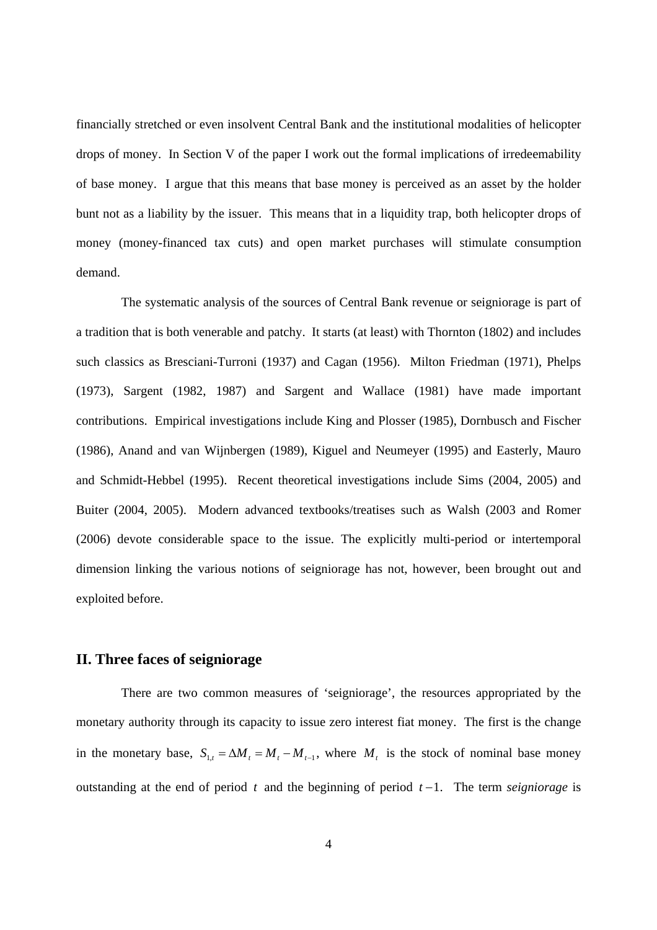financially stretched or even insolvent Central Bank and the institutional modalities of helicopter drops of money. In Section V of the paper I work out the formal implications of irredeemability of base money. I argue that this means that base money is perceived as an asset by the holder bunt not as a liability by the issuer. This means that in a liquidity trap, both helicopter drops of money (money-financed tax cuts) and open market purchases will stimulate consumption demand.

 The systematic analysis of the sources of Central Bank revenue or seigniorage is part of a tradition that is both venerable and patchy. It starts (at least) with Thornton (1802) and includes such classics as Bresciani-Turroni (1937) and Cagan (1956). Milton Friedman (1971), Phelps (1973), Sargent (1982, 1987) and Sargent and Wallace (1981) have made important contributions. Empirical investigations include King and Plosser (1985), Dornbusch and Fischer (1986), Anand and van Wijnbergen (1989), Kiguel and Neumeyer (1995) and Easterly, Mauro and Schmidt-Hebbel (1995). Recent theoretical investigations include Sims (2004, 2005) and Buiter (2004, 2005). Modern advanced textbooks/treatises such as Walsh (2003 and Romer (2006) devote considerable space to the issue. The explicitly multi-period or intertemporal dimension linking the various notions of seigniorage has not, however, been brought out and exploited before.

### **II. Three faces of seigniorage**

 There are two common measures of 'seigniorage', the resources appropriated by the monetary authority through its capacity to issue zero interest fiat money. The first is the change in the monetary base,  $S_{1,t} = \Delta M_t = M_t - M_{t-1}$ , where  $M_t$  is the stock of nominal base money outstanding at the end of period *t* and the beginning of period *t* −1. The term *seigniorage* is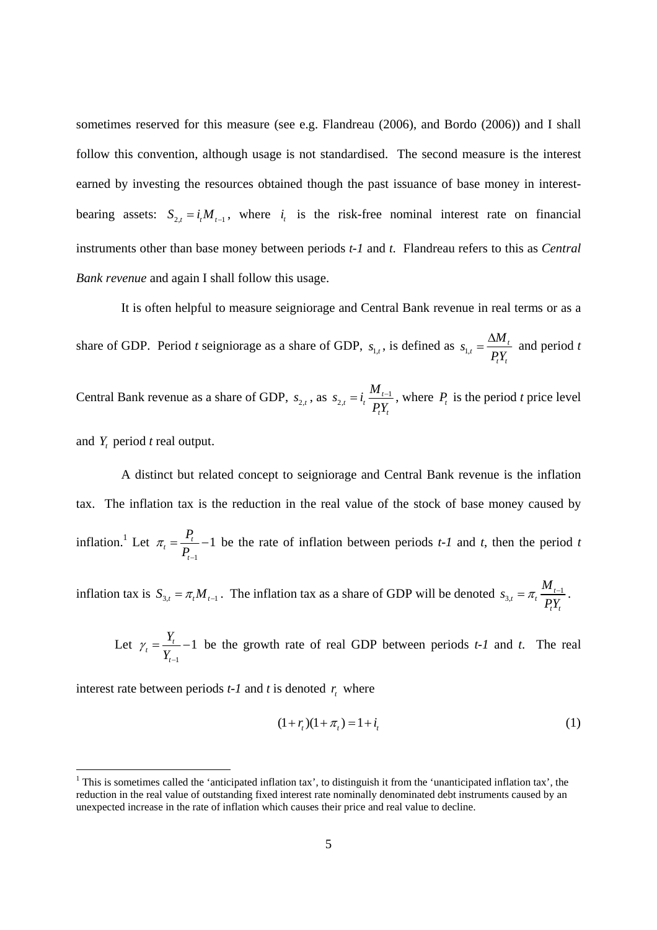sometimes reserved for this measure (see e.g. Flandreau (2006), and Bordo (2006)) and I shall follow this convention, although usage is not standardised. The second measure is the interest earned by investing the resources obtained though the past issuance of base money in interestbearing assets:  $S_{2,t} = i_t M_{t-1}$ , where  $i_t$  is the risk-free nominal interest rate on financial instruments other than base money between periods *t-1* and *t*. Flandreau refers to this as *Central Bank revenue* and again I shall follow this usage.

 It is often helpful to measure seigniorage and Central Bank revenue in real terms or as a share of GDP. Period *t* seigniorage as a share of GDP,  $s_{1,t}$ , is defined as  $s_{1,t} = \frac{\Delta W_t}{pV}$ *t t*  $s_{1t} = \frac{\Delta M}{R}$ *PY*  $=\frac{\Delta M_t}{\Delta t}$  and period *t* 

Central Bank revenue as a share of GDP,  $s_{2,t}$ , as  $s_{2,t} = i_t \frac{m_{t-1}}{pV}$ *t t*  $s_{2i} = i_i \frac{M}{I}$  $= i_t \frac{M_{t-1}}{P_t Y_t}$ , where  $P_t$  is the period *t* price level and *Yt* period *t* real output.

 A distinct but related concept to seigniorage and Central Bank revenue is the inflation tax. The inflation tax is the reduction in the real value of the stock of base money caused by inflation.<sup>1</sup> Let 1  $t = \frac{t_t}{R} - 1$ *t P*  $\pi_{_t} = \frac{\cdot}{P_{_t}}$ −  $=\frac{1}{n}$  -1 be the rate of inflation between periods *t-1* and *t*, then the period *t* 

inflation tax is  $S_{3,t} = \pi_t M_{t-1}$ . The inflation tax as a share of GDP will be denoted  $S_{3,t} = \pi_t \frac{M_{t-1}}{pV}$ *t t*  $s_{3t} = \pi t \frac{M}{I}$ *PY*  $=\pi_t \frac{m_{t-1}}{n}$ .

Let 
$$
\gamma_t = \frac{Y_t}{Y_{t-1}} - 1
$$
 be the growth rate of real GDP between periods *t-1* and *t*. The real

interest rate between periods  $t$ -1 and  $t$  is denoted  $r<sub>t</sub>$  where

$$
(1 + rt)(1 + \pit) = 1 + it
$$
\n(1)

<sup>&</sup>lt;sup>1</sup> This is sometimes called the 'anticipated inflation tax', to distinguish it from the 'unanticipated inflation tax', the reduction in the real value of outstanding fixed interest rate nominally denominated debt instruments caused by an unexpected increase in the rate of inflation which causes their price and real value to decline.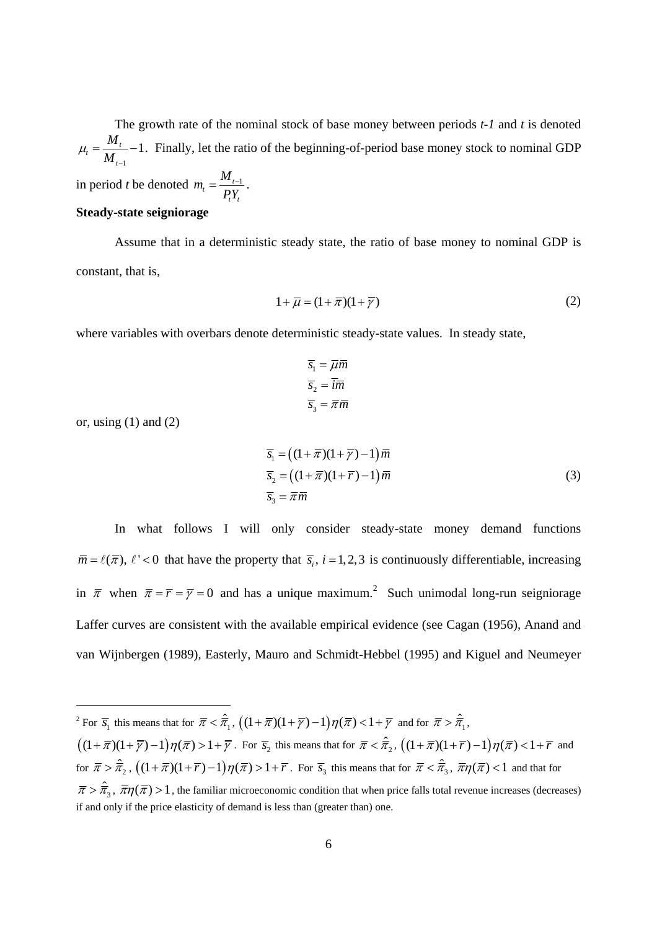The growth rate of the nominal stock of base money between periods *t-1* and *t* is denoted 1  $t_t = \frac{m_t}{M} - 1$ *t M*  $\mu_{t} = \frac{1}{M_{t-1}}$  $=\frac{m_t}{r}-1$ . Finally, let the ratio of the beginning-of-period base money stock to nominal GDP  $m_{\scriptscriptstyle t} = \frac{M}{\overline{a}}$ 

in period *t* be denoted  $m_t = \frac{m_{t-1}}{p_y}$ *t t PY*  $=\frac{m_{t-1}}{2}$ .

### **Steady-state seigniorage**

Assume that in a deterministic steady state, the ratio of base money to nominal GDP is constant, that is,

$$
1 + \overline{\mu} = (1 + \overline{\pi})(1 + \overline{\gamma})
$$
\n<sup>(2)</sup>

where variables with overbars denote deterministic steady-state values. In steady state,

$$
\overline{s}_1 = \overline{\mu}\overline{m}
$$

$$
\overline{s}_2 = \overline{i}\overline{m}
$$

$$
\overline{s}_3 = \overline{\pi}\overline{m}
$$

or, using  $(1)$  and  $(2)$ 

l

$$
\overline{s}_1 = ((1 + \overline{\pi})(1 + \overline{\gamma}) - 1)\overline{m}
$$
  
\n
$$
\overline{s}_2 = ((1 + \overline{\pi})(1 + \overline{\gamma}) - 1)\overline{m}
$$
  
\n
$$
\overline{s}_3 = \overline{\pi}\overline{m}
$$
\n(3)

In what follows I will only consider steady-state money demand functions  $\bar{m} = \ell(\bar{\pi})$ ,  $\ell' < 0$  that have the property that  $\bar{s}_i$ ,  $i = 1, 2, 3$  is continuously differentiable, increasing in  $\bar{\pi}$  when  $\bar{\pi} = \bar{r} = \bar{\gamma} = 0$  and has a unique maximum.<sup>2</sup> Such unimodal long-run seigniorage Laffer curves are consistent with the available empirical evidence (see Cagan (1956), Anand and van Wijnbergen (1989), Easterly, Mauro and Schmidt-Hebbel (1995) and Kiguel and Neumeyer

<sup>&</sup>lt;sup>2</sup> For  $\overline{s}_1$  this means that for  $\overline{\pi} < \hat{\overline{\pi}}_1$ ,  $((1 + \overline{\pi})(1 + \overline{\gamma}) - 1)\eta(\overline{\pi}) < 1 + \overline{\gamma}$  and for  $\overline{\pi} > \hat{\overline{\pi}}_1$ ,

 $((1 + \overline{\pi})(1 + \overline{\gamma}) - 1)\eta(\overline{\pi}) > 1 + \overline{\gamma}$ . For  $\overline{s_2}$  this means that for  $\overline{\pi} < \hat{\overline{\pi}}_2$ ,  $((1 + \overline{\pi})(1 + \overline{r}) - 1)\eta(\overline{\pi}) < 1 + \overline{r}$  and for  $\bar{\pi} > \hat{\bar{\pi}}_2$ ,  $((1 + \bar{\pi})(1 + \bar{r}) - 1)\eta(\bar{\pi}) > 1 + \bar{r}$ . For  $\bar{s}_3$  this means that for  $\bar{\pi} < \hat{\bar{\pi}}_3$ ,  $\bar{\pi}\eta(\bar{\pi}) < 1$  and that for

 $\bar{\pi} > \hat{\pi}_3$ ,  $\bar{\pi} \eta(\bar{\pi}) > 1$ , the familiar microeconomic condition that when price falls total revenue increases (decreases) if and only if the price elasticity of demand is less than (greater than) one.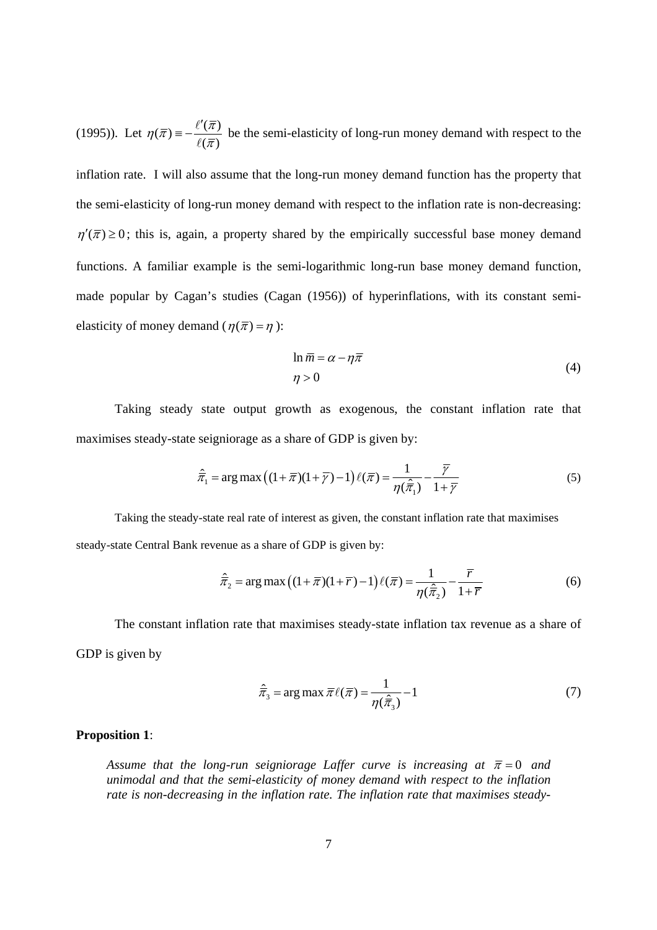(1995)). Let  $\eta(\overline{\pi}) = -\frac{\ell'(\overline{\pi})}{\ell(\overline{\pi})}$  $\frac{\partial (n)}{\partial (\overline{x})}$  be the semi-elasticity of long-run money demand with respect to the inflation rate. I will also assume that the long-run money demand function has the property that the semi-elasticity of long-run money demand with respect to the inflation rate is non-decreasing:  $\eta'(\overline{\pi}) \geq 0$ ; this is, again, a property shared by the empirically successful base money demand functions. A familiar example is the semi-logarithmic long-run base money demand function, made popular by Cagan's studies (Cagan (1956)) of hyperinflations, with its constant semielasticity of money demand ( $\eta(\bar{\pi}) = \eta$ ):

$$
\ln \overline{m} = \alpha - \eta \overline{\pi} \tag{4}
$$

$$
\eta > 0
$$

Taking steady state output growth as exogenous, the constant inflation rate that maximises steady-state seigniorage as a share of GDP is given by:

$$
\hat{\overline{\pi}}_1 = \arg \max \left( (1 + \overline{\pi})(1 + \overline{\gamma}) - 1 \right) \ell(\overline{\pi}) = \frac{1}{\eta(\hat{\overline{\pi}}_1)} - \frac{\overline{\gamma}}{1 + \overline{\gamma}}
$$
(5)

 Taking the steady-state real rate of interest as given, the constant inflation rate that maximises steady-state Central Bank revenue as a share of GDP is given by:

$$
\hat{\overline{\pi}}_2 = \arg \max \left( (1 + \overline{\pi})(1 + \overline{r}) - 1 \right) \ell(\overline{\pi}) = \frac{1}{\eta(\hat{\overline{\pi}}_2)} - \frac{\overline{r}}{1 + \overline{r}}
$$
(6)

 The constant inflation rate that maximises steady-state inflation tax revenue as a share of GDP is given by

$$
\hat{\overline{\pi}}_3 = \arg \max \overline{\pi} \ell(\overline{\pi}) = \frac{1}{\eta(\hat{\overline{\pi}}_3)} - 1 \tag{7}
$$

### **Proposition 1**:

*Assume that the long-run seigniorage Laffer curve is increasing at*  $\bar{\pi} = 0$  *and unimodal and that the semi-elasticity of money demand with respect to the inflation rate is non-decreasing in the inflation rate. The inflation rate that maximises steady-*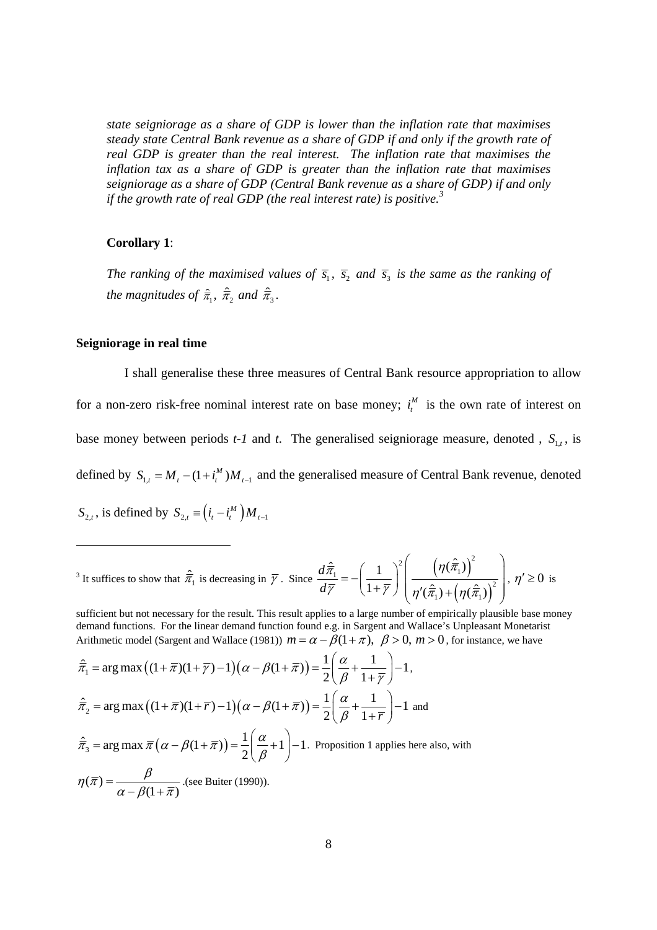*state seigniorage as a share of GDP is lower than the inflation rate that maximises steady state Central Bank revenue as a share of GDP if and only if the growth rate of real GDP is greater than the real interest. The inflation rate that maximises the inflation tax as a share of GDP is greater than the inflation rate that maximises seigniorage as a share of GDP (Central Bank revenue as a share of GDP) if and only if the growth rate of real GDP (the real interest rate) is positive.<sup>3</sup>*

#### **Corollary 1**:

*The ranking of the maximised values of*  $\overline{s}_1$ ,  $\overline{s}_2$  *and*  $\overline{s}_3$  *is the same as the ranking of the magnitudes of*  $\hat{\overline{\pi}}_1$ *,*  $\hat{\overline{\pi}}_2$  *and*  $\hat{\overline{\pi}}_3$ *.* 

### **Seigniorage in real time**

 I shall generalise these three measures of Central Bank resource appropriation to allow for a non-zero risk-free nominal interest rate on base money;  $i_t^M$  is the own rate of interest on base money between periods  $t$ -1 and  $t$ . The generalised seigniorage measure, denoted ,  $S_{1,t}$ , is defined by  $S_{1,t} = M_t - (1 + i_t^M) M_{t-1}$  and the generalised measure of Central Bank revenue, denoted  $S_{2,t}$ , is defined by  $S_{2,t} \equiv (i_t - i_t^M) M_{t-1}$ 

$$
{}^{3} \text{ It suffices to show that } \hat{\overline{\pi}}_1 \text{ is decreasing in } \overline{\gamma}. \text{ Since } \frac{d\hat{\overline{\pi}}_1}{d\overline{\gamma}} = -\left(\frac{1}{1+\overline{\gamma}}\right)^2 \left(\frac{\left(\eta(\hat{\overline{\pi}}_1)\right)^2}{\eta'(\hat{\overline{\pi}}_1) + \left(\eta(\hat{\overline{\pi}}_1)\right)^2}\right), \eta' \ge 0 \text{ is}
$$

sufficient but not necessary for the result. This result applies to a large number of empirically plausible base money demand functions. For the linear demand function found e.g. in Sargent and Wallace's Unpleasant Monetarist Arithmetic model (Sargent and Wallace (1981))  $m = \alpha - \beta(1 + \pi)$ ,  $\beta > 0$ ,  $m > 0$ , for instance, we have

$$
\hat{\overline{\pi}}_1 = \arg \max \left( (1 + \overline{\pi})(1 + \overline{\gamma}) - 1 \right) \left( \alpha - \beta(1 + \overline{\pi}) \right) = \frac{1}{2} \left( \frac{\alpha}{\beta} + \frac{1}{1 + \overline{\gamma}} \right) - 1,
$$
  

$$
\hat{\overline{\pi}}_2 = \arg \max \left( (1 + \overline{\pi})(1 + \overline{\gamma}) - 1 \right) \left( \alpha - \beta(1 + \overline{\pi}) \right) = \frac{1}{2} \left( \frac{\alpha}{\beta} + \frac{1}{1 + \overline{\gamma}} \right) - 1 \text{ and}
$$
  

$$
\hat{\overline{\pi}}_3 = \arg \max \overline{\pi} \left( \alpha - \beta(1 + \overline{\pi}) \right) = \frac{1}{2} \left( \frac{\alpha}{\beta} + 1 \right) - 1.
$$
 Proposition 1 applies here also, with  

$$
\eta(\overline{\pi}) = \frac{\beta}{\alpha - \beta(1 + \overline{\pi})}.
$$
(see Buiter (1990)).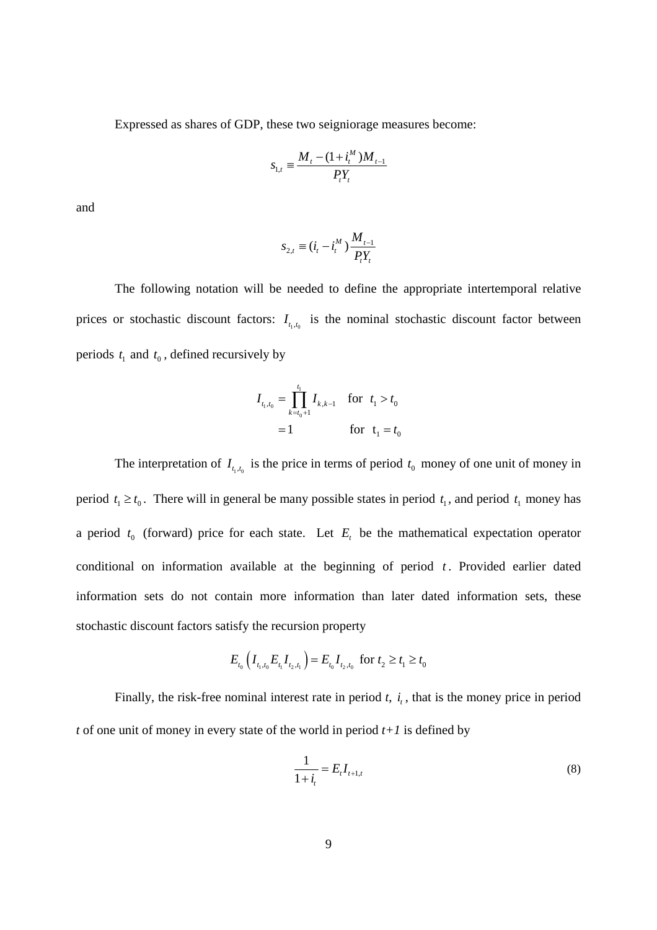Expressed as shares of GDP, these two seigniorage measures become:

$$
S_{1,t} \equiv \frac{M_t - (1 + i_t^M)M_{t-1}}{P_t Y_t}
$$

and

$$
S_{2,t} \equiv (i_t - i_t^M) \frac{M_{t-1}}{P_t Y_t}
$$

 The following notation will be needed to define the appropriate intertemporal relative prices or stochastic discount factors:  $I_{t_1,t_0}$  is the nominal stochastic discount factor between periods  $t_1$  and  $t_0$ , defined recursively by

$$
I_{t_1,t_0} = \prod_{k=t_0+1}^{t_1} I_{k,k-1} \quad \text{for} \quad t_1 > t_0
$$
  
= 1 \qquad \qquad \text{for} \quad t\_1 = t\_0

The interpretation of  $I_{t_1,t_0}$  is the price in terms of period  $t_0$  money of one unit of money in period  $t_1 \ge t_0$ . There will in general be many possible states in period  $t_1$ , and period  $t_1$  money has a period  $t_0$  (forward) price for each state. Let  $E_t$  be the mathematical expectation operator conditional on information available at the beginning of period  $t$ . Provided earlier dated information sets do not contain more information than later dated information sets, these stochastic discount factors satisfy the recursion property

$$
E_{t_0}\left(I_{t_1,t_0}E_{t_1}I_{t_2,t_1}\right) = E_{t_0}I_{t_2,t_0} \text{ for } t_2 \ge t_1 \ge t_0
$$

Finally, the risk-free nominal interest rate in period  $t$ ,  $i_t$ , that is the money price in period *t* of one unit of money in every state of the world in period *t+1* is defined by

$$
\frac{1}{1+i_t} = E_t I_{t+1,t} \tag{8}
$$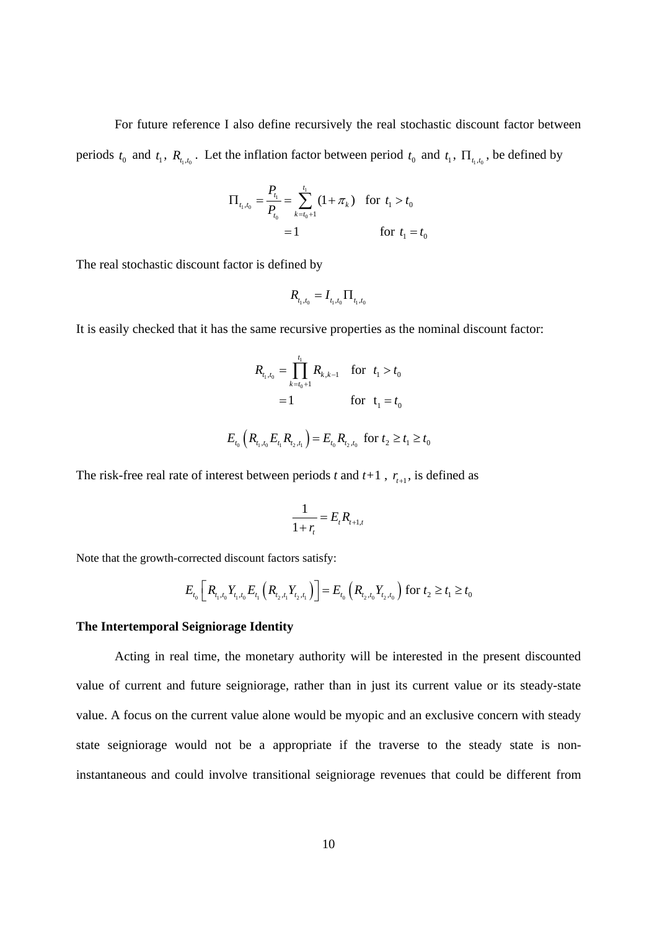For future reference I also define recursively the real stochastic discount factor between periods  $t_0$  and  $t_1$ ,  $R_{t_1,t_0}$ . Let the inflation factor between period  $t_0$  and  $t_1$ ,  $\Pi_{t_1,t_0}$ , be defined by

$$
\Pi_{t_1, t_0} = \frac{P_{t_1}}{P_{t_0}} = \sum_{k=t_0+1}^{t_1} (1 + \pi_k) \text{ for } t_1 > t_0
$$
  
= 1 \nfor  $t_1 = t_0$ 

The real stochastic discount factor is defined by

$$
R_{_{t_1,t_0}} = I_{_{t_1,t_0}} \Pi_{_{t_1,t_0}}
$$

It is easily checked that it has the same recursive properties as the nominal discount factor:

$$
R_{t_1, t_0} = \prod_{k=t_0+1}^{t_1} R_{k, k-1} \quad \text{for} \quad t_1 > t_0
$$
  
= 1 \qquad \qquad \text{for} \quad t\_1 = t\_0  

$$
E_{t_0} \left( R_{t_1, t_0} E_{t_1} R_{t_2, t_1} \right) = E_{t_0} R_{t_2, t_0} \quad \text{for} \ t_2 \ge t_1 \ge t_0
$$

The risk-free real rate of interest between periods *t* and  $t+1$ ,  $r_{t+1}$ , is defined as

$$
\frac{1}{1+r_t} = E_t R_{t+1,t}
$$

Note that the growth-corrected discount factors satisfy:

$$
E_{t_0}\left[R_{t_1,t_0}Y_{t_1,t_0}E_{t_1}\left(R_{t_2,t_1}Y_{t_2,t_1}\right)\right] = E_{t_0}\left(R_{t_2,t_0}Y_{t_2,t_0}\right) \text{ for } t_2 \ge t_1 \ge t_0
$$

#### **The Intertemporal Seigniorage Identity**

 Acting in real time, the monetary authority will be interested in the present discounted value of current and future seigniorage, rather than in just its current value or its steady-state value. A focus on the current value alone would be myopic and an exclusive concern with steady state seigniorage would not be a appropriate if the traverse to the steady state is noninstantaneous and could involve transitional seigniorage revenues that could be different from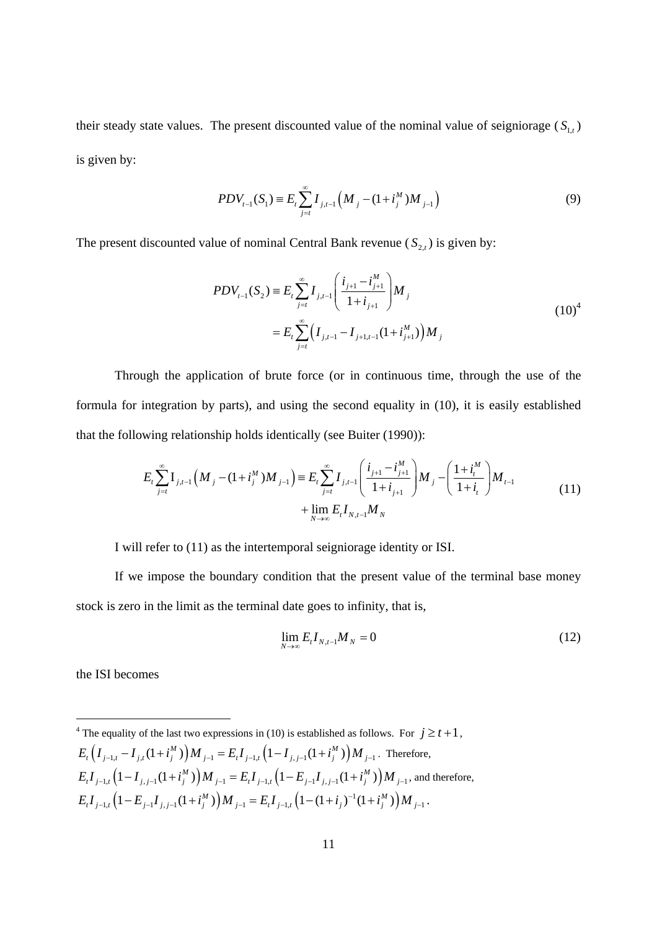their steady state values. The present discounted value of the nominal value of seigniorage  $(S_{1,t})$ is given by:

$$
PDV_{t-1}(S_1) \equiv E_t \sum_{j=t}^{\infty} I_{j,t-1}\left(M_j - (1 + i_j^M)M_{j-1}\right)
$$
\n(9)

The present discounted value of nominal Central Bank revenue  $(S_{2,t})$  is given by:

$$
PDV_{t-1}(S_2) \equiv E_t \sum_{j=t}^{\infty} I_{j,t-1} \left( \frac{i_{j+1} - i_{j+1}^M}{1 + i_{j+1}} \right) M_j
$$
  

$$
= E_t \sum_{j=t}^{\infty} \left( I_{j,t-1} - I_{j+1,t-1} (1 + i_{j+1}^M) \right) M_j
$$
 (10)<sup>4</sup>

 Through the application of brute force (or in continuous time, through the use of the formula for integration by parts), and using the second equality in (10), it is easily established that the following relationship holds identically (see Buiter (1990)):

$$
E_{t} \sum_{j=t}^{\infty} \mathbf{I}_{j,t-1} \left( M_{j} - (1+i_{j}^{M}) M_{j-1} \right) \equiv E_{t} \sum_{j=t}^{\infty} I_{j,t-1} \left( \frac{i_{j+1} - i_{j+1}^{M}}{1+i_{j+1}} \right) M_{j} - \left( \frac{1+i_{t}^{M}}{1+i_{t}} \right) M_{t-1} + \lim_{N \to \infty} E_{t} I_{N,t-1} M_{N}
$$
\n(11)

I will refer to (11) as the intertemporal seigniorage identity or ISI.

If we impose the boundary condition that the present value of the terminal base money stock is zero in the limit as the terminal date goes to infinity, that is,

$$
\lim_{N \to \infty} E_t I_{N,t-1} M_N = 0 \tag{12}
$$

the ISI becomes

<sup>4</sup> The equality of the last two expressions in (10) is established as follows. For  $j \ge t+1$ ,  $E_t(I_{i-1,t} - I_{i,t}(1 + i^M_i))M_{i-1} = E_t I_{i-1,t}(1 - I_{i,t-1}(1 + i^M_i))M_{i-1}$ . Therefore,  $E_{i}I_{j-1,i} \left(1 - I_{j,j-1}(1+i''_{j})\right) M_{j-1} = E_{i}I_{j-1,i} \left(1 - E_{j-1}I_{j,j-1}(1+i''_{j})\right) M_{j-1}$ , and therefore,  $E_{_tI_{j-1,t}}\left(1-E_{_{j-1}I_{j,j-1}}(1+i_j^M)\right)M_{_{j-1}} = E_{_tI_{j-1,t}}\left(1-(1+i_j)^{-1}(1+i_j^M)\right)M_{_{j-1}}.$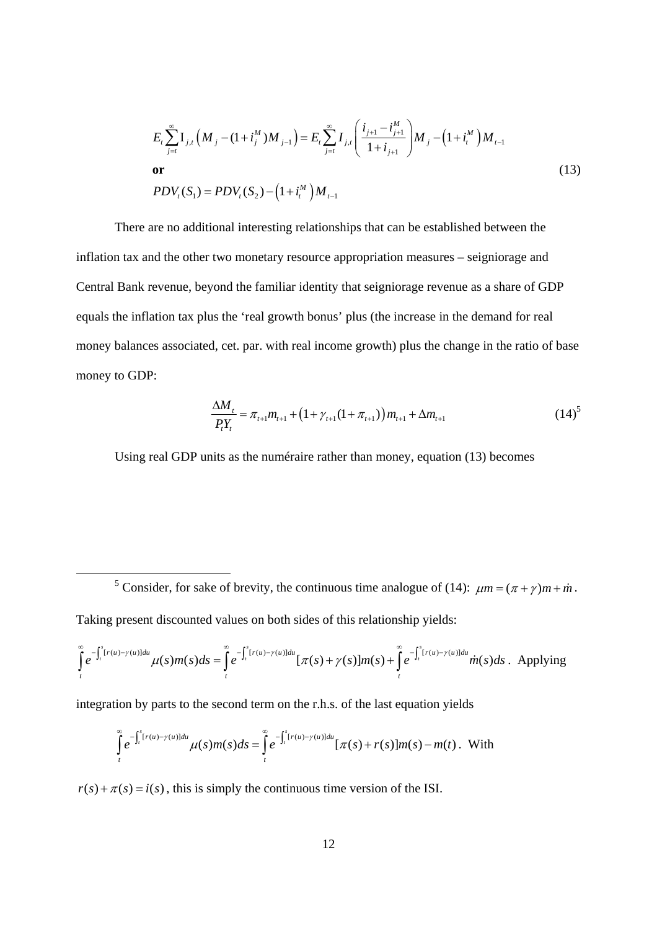$$
E_{t} \sum_{j=t}^{\infty} \mathbf{I}_{j,t} \left( M_{j} - (1 + i_{j}^{M}) M_{j-1} \right) = E_{t} \sum_{j=t}^{\infty} I_{j,t} \left( \frac{i_{j+1} - i_{j+1}^{M}}{1 + i_{j+1}} \right) M_{j} - \left( 1 + i_{t}^{M} \right) M_{t-1}
$$
  
or  

$$
PDV_{t}(S_{1}) = PDV_{t}(S_{2}) - \left( 1 + i_{t}^{M} \right) M_{t-1}
$$
 (13)

There are no additional interesting relationships that can be established between the inflation tax and the other two monetary resource appropriation measures – seigniorage and Central Bank revenue, beyond the familiar identity that seigniorage revenue as a share of GDP equals the inflation tax plus the 'real growth bonus' plus (the increase in the demand for real money balances associated, cet. par. with real income growth) plus the change in the ratio of base money to GDP:

$$
\frac{\Delta M_{t}}{P_{t}Y_{t}} = \pi_{t+1}m_{t+1} + \left(1 + \gamma_{t+1}(1 + \pi_{t+1})\right)m_{t+1} + \Delta m_{t+1}
$$
\n(14)<sup>5</sup>

Using real GDP units as the numéraire rather than money, equation (13) becomes

 $\frac{1}{5}$ <sup>5</sup> Consider, for sake of brevity, the continuous time analogue of (14):  $\mu m = (\pi + \gamma) m + \dot{m}$ . Taking present discounted values on both sides of this relationship yields:

$$
\int_{t}^{\infty} e^{-\int_{t}^{s}[r(u)-\gamma(u)]du} \mu(s)m(s)ds = \int_{t}^{\infty} e^{-\int_{t}^{s}[r(u)-\gamma(u)]du} [\pi(s)+\gamma(s)]m(s) + \int_{t}^{\infty} e^{-\int_{t}^{s}[r(u)-\gamma(u)]du} \dot{m}(s)ds.
$$
 Applying

integration by parts to the second term on the r.h.s. of the last equation yields

$$
\int_{t}^{\infty} e^{-\int_{t}^{s}[r(u)-\gamma(u)]du} \mu(s)m(s)ds = \int_{t}^{\infty} e^{-\int_{t}^{s}[r(u)-\gamma(u)]du} [\pi(s)+r(s)]m(s)-m(t).
$$
 With

 $r(s) + \pi(s) = i(s)$ , this is simply the continuous time version of the ISI.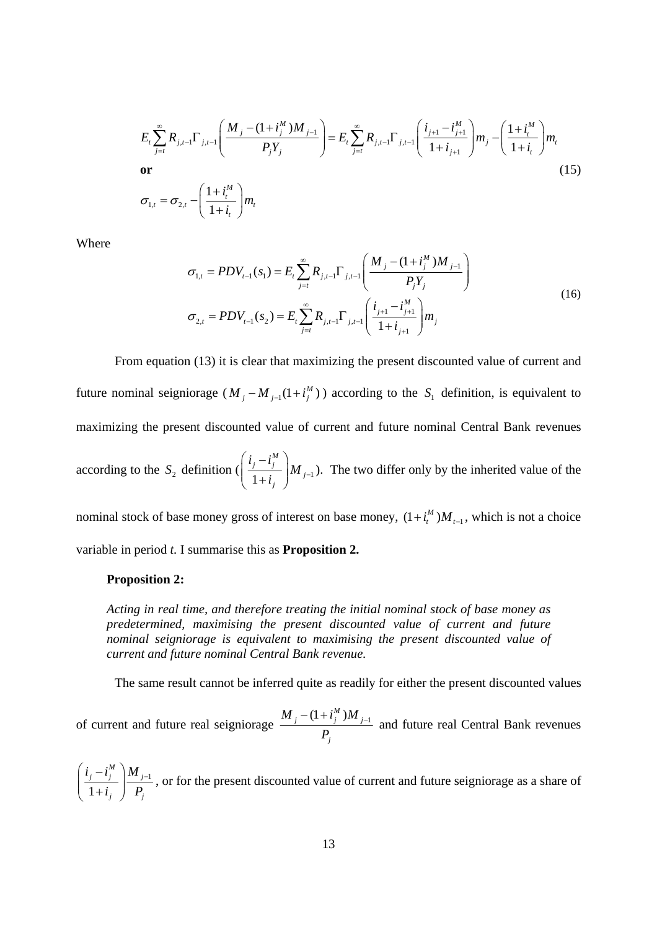$$
E_{t} \sum_{j=t}^{\infty} R_{j,t-1} \Gamma_{j,t-1} \left( \frac{M_j - (1 + i_j^M) M_{j-1}}{P_j Y_j} \right) = E_{t} \sum_{j=t}^{\infty} R_{j,t-1} \Gamma_{j,t-1} \left( \frac{i_{j+1} - i_{j+1}^M}{1 + i_{j+1}} \right) m_j - \left( \frac{1 + i_t^M}{1 + i_t} \right) m_t
$$
\nor

\n
$$
\sigma_{1,t} = \sigma_{2,t} - \left( \frac{1 + i_t^M}{1 + i_t} \right) m_t
$$
\n(15)

Where

$$
\sigma_{1,t} = PDV_{t-1}(s_1) = E_t \sum_{j=t}^{\infty} R_{j,t-1} \Gamma_{j,t-1} \left( \frac{M_j - (1 + i_j^M)M_{j-1}}{P_j Y_j} \right)
$$
  

$$
\sigma_{2,t} = PDV_{t-1}(s_2) = E_t \sum_{j=t}^{\infty} R_{j,t-1} \Gamma_{j,t-1} \left( \frac{i_{j+1} - i_{j+1}^M}{1 + i_{j+1}} \right) m_j
$$
 (16)

From equation (13) it is clear that maximizing the present discounted value of current and future nominal seigniorage  $(M_i - M_{i-1}(1 + i^M)$  according to the  $S_i$  definition, is equivalent to maximizing the present discounted value of current and future nominal Central Bank revenues according to the  $S_2$  definition ( $\left(\frac{f_j - f_j}{1 + i_j}\right)M_{j-1}$ *M j j j j*  $i_i - i$  $\frac{r_j}{i_j}$   $\Big|M_{j-1}$  $\left(\frac{i_j-i_j^M}{i_j}\right)$  $\left(1+i_j\right)$ ). The two differ only by the inherited value of the

nominal stock of base money gross of interest on base money,  $(1 + i_t^M) M_{t-1}$ , which is not a choice variable in period *t.* I summarise this as **Proposition 2.** 

#### **Proposition 2:**

*Acting in real time, and therefore treating the initial nominal stock of base money as predetermined, maximising the present discounted value of current and future nominal seigniorage is equivalent to maximising the present discounted value of current and future nominal Central Bank revenue.*

The same result cannot be inferred quite as readily for either the present discounted values

of current and future real seigniorage  $\frac{M_j - (1 + i_j^M) M_{j-1}}{D}$ *j*  $M_{i} - (1 + i_{i}^{M})M$ *P*  $\frac{-(1+i_j^M)M_{j-1}}{2}$  and future real Central Bank revenues

1 1 *M*  $j$   $\begin{bmatrix} u \\ j \end{bmatrix}$   $\begin{bmatrix} u \\ j \end{bmatrix}$ *j j*  $i_i - i_i^M$  |  $M$ *i P*  $\left(\frac{i_j-i_j^M}{1-\cdot}\right)M_{j-1}$  $\left(1+i_j\right)$ , or for the present discounted value of current and future seigniorage as a share of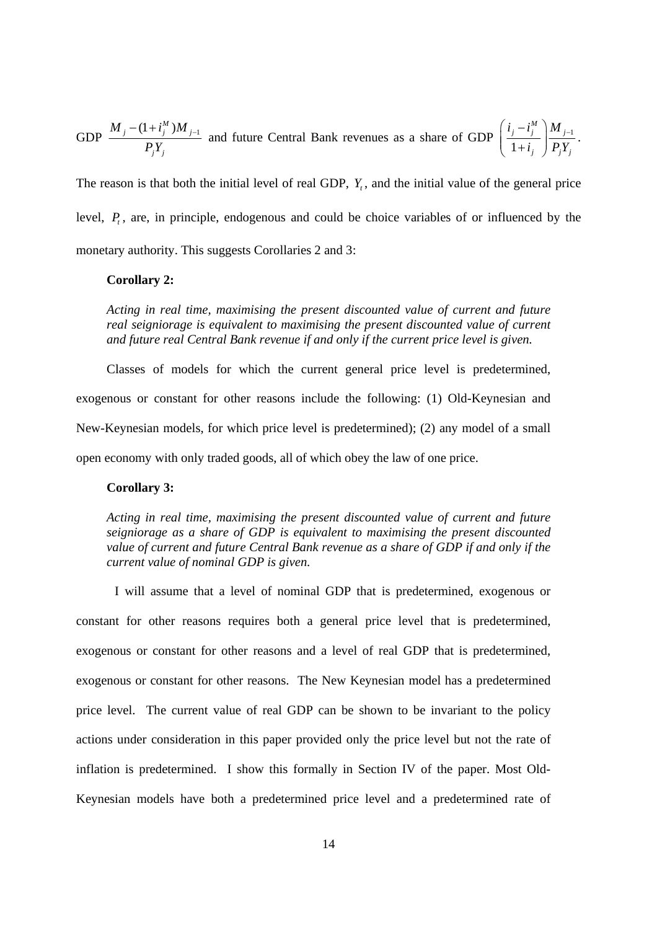GDP 
$$
\frac{M_j - (1 + i_j^M)M_{j-1}}{P_j Y_j}
$$
 and future Central Bank revenues as a share of GDP  $\left(\frac{i_j - i_j^M}{1 + i_j}\right) \frac{M_{j-1}}{P_j Y_j}$ .

The reason is that both the initial level of real GDP,  $Y_t$ , and the initial value of the general price level,  $P_t$ , are, in principle, endogenous and could be choice variables of or influenced by the monetary authority. This suggests Corollaries 2 and 3:

### **Corollary 2:**

*Acting in real time, maximising the present discounted value of current and future real seigniorage is equivalent to maximising the present discounted value of current and future real Central Bank revenue if and only if the current price level is given.* 

Classes of models for which the current general price level is predetermined, exogenous or constant for other reasons include the following: (1) Old-Keynesian and New-Keynesian models, for which price level is predetermined); (2) any model of a small open economy with only traded goods, all of which obey the law of one price.

### **Corollary 3:**

*Acting in real time, maximising the present discounted value of current and future seigniorage as a share of GDP is equivalent to maximising the present discounted value of current and future Central Bank revenue as a share of GDP if and only if the current value of nominal GDP is given.*

 I will assume that a level of nominal GDP that is predetermined, exogenous or constant for other reasons requires both a general price level that is predetermined, exogenous or constant for other reasons and a level of real GDP that is predetermined, exogenous or constant for other reasons. The New Keynesian model has a predetermined price level. The current value of real GDP can be shown to be invariant to the policy actions under consideration in this paper provided only the price level but not the rate of inflation is predetermined. I show this formally in Section IV of the paper. Most Old-Keynesian models have both a predetermined price level and a predetermined rate of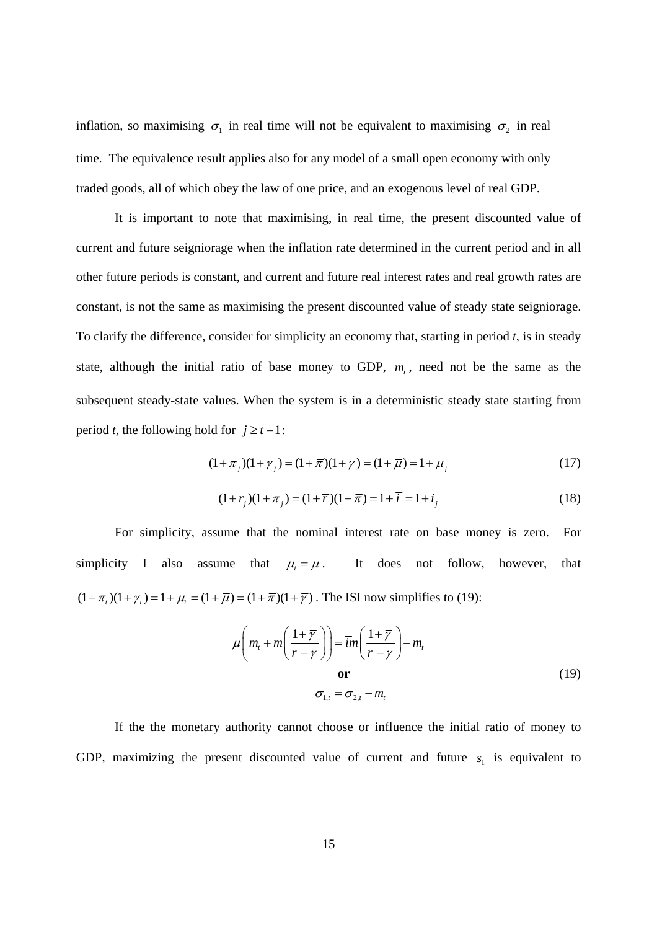inflation, so maximising  $\sigma_1$  in real time will not be equivalent to maximising  $\sigma_2$  in real time. The equivalence result applies also for any model of a small open economy with only traded goods, all of which obey the law of one price, and an exogenous level of real GDP.

It is important to note that maximising, in real time, the present discounted value of current and future seigniorage when the inflation rate determined in the current period and in all other future periods is constant, and current and future real interest rates and real growth rates are constant, is not the same as maximising the present discounted value of steady state seigniorage. To clarify the difference, consider for simplicity an economy that, starting in period *t*, is in steady state, although the initial ratio of base money to GDP,  $m<sub>t</sub>$ , need not be the same as the subsequent steady-state values. When the system is in a deterministic steady state starting from period *t*, the following hold for  $j \ge t+1$ :

$$
(1 + \pi_j)(1 + \gamma_j) = (1 + \overline{\pi})(1 + \overline{\gamma}) = (1 + \overline{\mu}) = 1 + \mu_j
$$
\n(17)

$$
(1+rj)(1+\pij) = (1+\overline{r})(1+\overline{\pi}) = 1+\overline{i} = 1+ij
$$
\n(18)

For simplicity, assume that the nominal interest rate on base money is zero. For simplicity I also assume that  $\mu_t = \mu$ . It does not follow, however, that  $(1 + \pi_t)(1 + \gamma_t) = 1 + \mu_t = (1 + \overline{\mu}) = (1 + \overline{\pi})(1 + \overline{\gamma})$ . The ISI now simplifies to (19):

$$
\overline{\mu}\left(m_t + \overline{m}\left(\frac{1+\overline{\gamma}}{\overline{r}-\overline{\gamma}}\right)\right) = \overline{im}\left(\frac{1+\overline{\gamma}}{\overline{r}-\overline{\gamma}}\right) - m_t
$$
\n
$$
\mathbf{or}
$$
\n
$$
\sigma_{1,t} = \sigma_{2,t} - m_t
$$
\n(19)

If the the monetary authority cannot choose or influence the initial ratio of money to GDP, maximizing the present discounted value of current and future  $s<sub>1</sub>$  is equivalent to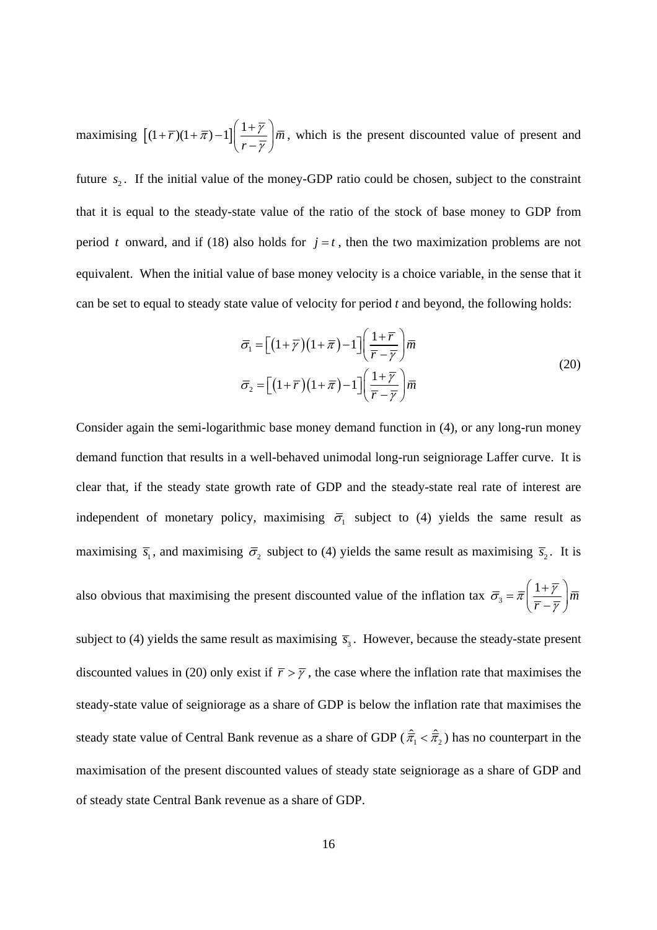maximising  $\left[ (1 + \overline{r})(1 + \overline{\pi}) - 1 \right] \left( \frac{1 + \overline{\gamma}}{2} \right) \overline{m}$ *r*  $\bar{\pi}$ ) – 1]  $\frac{1+\gamma}{\gamma}$ γ  $+ \overline{r}(1+\overline{\pi})-1\left[\frac{1+\overline{r}}{r-\overline{r}}\right]\overline{m}$ , which is the present discounted value of present and future  $s_2$ . If the initial value of the money-GDP ratio could be chosen, subject to the constraint that it is equal to the steady-state value of the ratio of the stock of base money to GDP from period *t* onward, and if (18) also holds for  $j = t$ , then the two maximization problems are not equivalent. When the initial value of base money velocity is a choice variable, in the sense that it can be set to equal to steady state value of velocity for period *t* and beyond, the following holds:

$$
\overline{\sigma}_1 = \left[ \left( 1 + \overline{\gamma} \right) \left( 1 + \overline{\pi} \right) - 1 \right] \left( \frac{1 + \overline{r}}{\overline{r} - \overline{\gamma}} \right) \overline{m}
$$
\n
$$
\overline{\sigma}_2 = \left[ \left( 1 + \overline{r} \right) \left( 1 + \overline{\pi} \right) - 1 \right] \left( \frac{1 + \overline{\gamma}}{\overline{r} - \overline{\gamma}} \right) \overline{m}
$$
\n(20)

Consider again the semi-logarithmic base money demand function in (4), or any long-run money demand function that results in a well-behaved unimodal long-run seigniorage Laffer curve. It is clear that, if the steady state growth rate of GDP and the steady-state real rate of interest are independent of monetary policy, maximising  $\bar{\sigma}_1$  subject to (4) yields the same result as maximising  $\bar{s}_1$ , and maximising  $\bar{\sigma}_2$  subject to (4) yields the same result as maximising  $\bar{s}_2$ . It is also obvious that maximising the present discounted value of the inflation tax  $\bar{\sigma}_3 = \bar{\pi} \left( \frac{1 + \bar{\gamma}}{1 - \bar{\gamma}} \right) \bar{m}$ *r*  $\bar{\sigma}_{\rm s} = \bar{\pi} \left| \frac{1+\gamma}{\gamma} \right|$  $=\overline{\pi}\left(\frac{1+\overline{\gamma}}{\overline{r}-\overline{\gamma}}\right)$ 

subject to (4) yields the same result as maximising  $\bar{s}_3$ . However, because the steady-state present discounted values in (20) only exist if  $\bar{r} > \bar{\gamma}$ , the case where the inflation rate that maximises the steady-state value of seigniorage as a share of GDP is below the inflation rate that maximises the steady state value of Central Bank revenue as a share of GDP ( $\hat{\pi}_1 < \hat{\pi}_2$ ) has no counterpart in the maximisation of the present discounted values of steady state seigniorage as a share of GDP and of steady state Central Bank revenue as a share of GDP.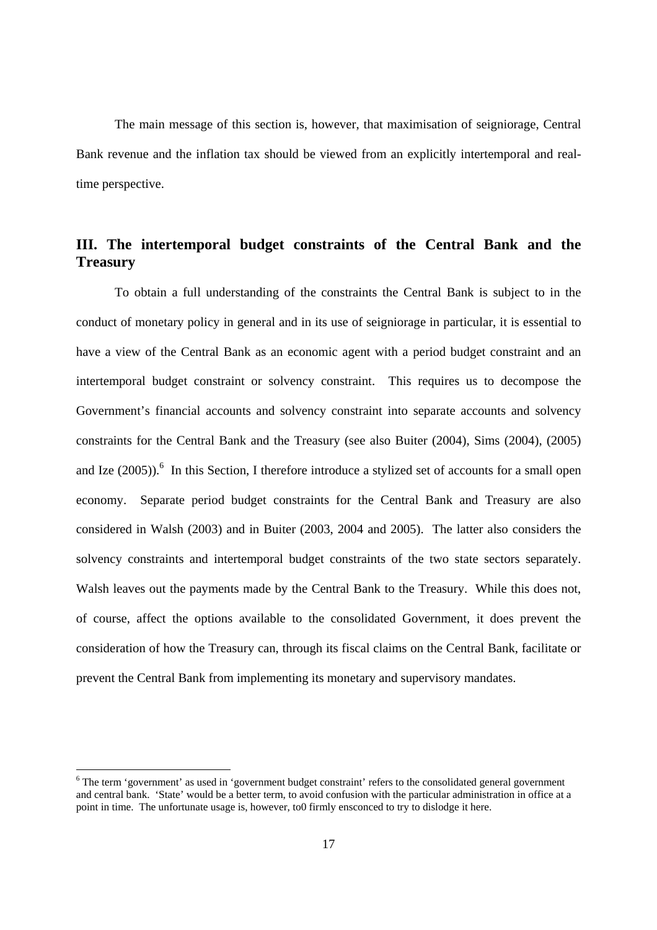The main message of this section is, however, that maximisation of seigniorage, Central Bank revenue and the inflation tax should be viewed from an explicitly intertemporal and realtime perspective.

# **III. The intertemporal budget constraints of the Central Bank and the Treasury**

 To obtain a full understanding of the constraints the Central Bank is subject to in the conduct of monetary policy in general and in its use of seigniorage in particular, it is essential to have a view of the Central Bank as an economic agent with a period budget constraint and an intertemporal budget constraint or solvency constraint. This requires us to decompose the Government's financial accounts and solvency constraint into separate accounts and solvency constraints for the Central Bank and the Treasury (see also Buiter (2004), Sims (2004), (2005) and Ize  $(2005)$ .<sup>6</sup> In this Section, I therefore introduce a stylized set of accounts for a small open economy. Separate period budget constraints for the Central Bank and Treasury are also considered in Walsh (2003) and in Buiter (2003, 2004 and 2005). The latter also considers the solvency constraints and intertemporal budget constraints of the two state sectors separately. Walsh leaves out the payments made by the Central Bank to the Treasury. While this does not, of course, affect the options available to the consolidated Government, it does prevent the consideration of how the Treasury can, through its fiscal claims on the Central Bank, facilitate or prevent the Central Bank from implementing its monetary and supervisory mandates.

 $6$  The term 'government' as used in 'government budget constraint' refers to the consolidated general government and central bank. 'State' would be a better term, to avoid confusion with the particular administration in office at a point in time. The unfortunate usage is, however, to0 firmly ensconced to try to dislodge it here.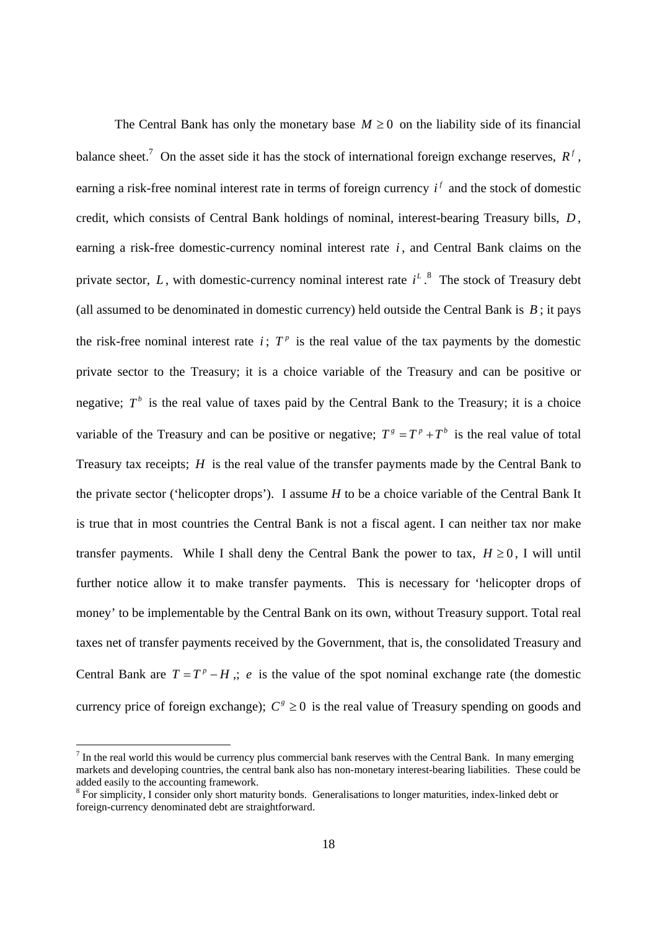The Central Bank has only the monetary base  $M \geq 0$  on the liability side of its financial balance sheet.<sup>7</sup> On the asset side it has the stock of international foreign exchange reserves,  $R<sup>f</sup>$ , earning a risk-free nominal interest rate in terms of foreign currency  $i^f$  and the stock of domestic credit, which consists of Central Bank holdings of nominal, interest-bearing Treasury bills, *D* , earning a risk-free domestic-currency nominal interest rate *i* , and Central Bank claims on the private sector,  $L$ , with domestic-currency nominal interest rate  $i^L$ .<sup>8</sup> The stock of Treasury debt (all assumed to be denominated in domestic currency) held outside the Central Bank is  $B$ : it pays the risk-free nominal interest rate  $i$ ;  $T<sup>p</sup>$  is the real value of the tax payments by the domestic private sector to the Treasury; it is a choice variable of the Treasury and can be positive or negative;  $T<sup>b</sup>$  is the real value of taxes paid by the Central Bank to the Treasury; it is a choice variable of the Treasury and can be positive or negative;  $T^s = T^p + T^b$  is the real value of total Treasury tax receipts; *H* is the real value of the transfer payments made by the Central Bank to the private sector ('helicopter drops'). I assume *H* to be a choice variable of the Central Bank It is true that in most countries the Central Bank is not a fiscal agent. I can neither tax nor make transfer payments. While I shall deny the Central Bank the power to tax,  $H \ge 0$ , I will until further notice allow it to make transfer payments. This is necessary for 'helicopter drops of money' to be implementable by the Central Bank on its own, without Treasury support. Total real taxes net of transfer payments received by the Government, that is, the consolidated Treasury and Central Bank are  $T = T^p - H$ ,  $\neq e$  is the value of the spot nominal exchange rate (the domestic currency price of foreign exchange);  $C^s \geq 0$  is the real value of Treasury spending on goods and

 $\overline{a}$ 

 $<sup>7</sup>$  In the real world this would be currency plus commercial bank reserves with the Central Bank. In many emerging</sup> markets and developing countries, the central bank also has non-monetary interest-bearing liabilities. These could be added easily to the accounting framework.

<sup>&</sup>lt;sup>8</sup> For simplicity, I consider only short maturity bonds. Generalisations to longer maturities, index-linked debt or foreign-currency denominated debt are straightforward.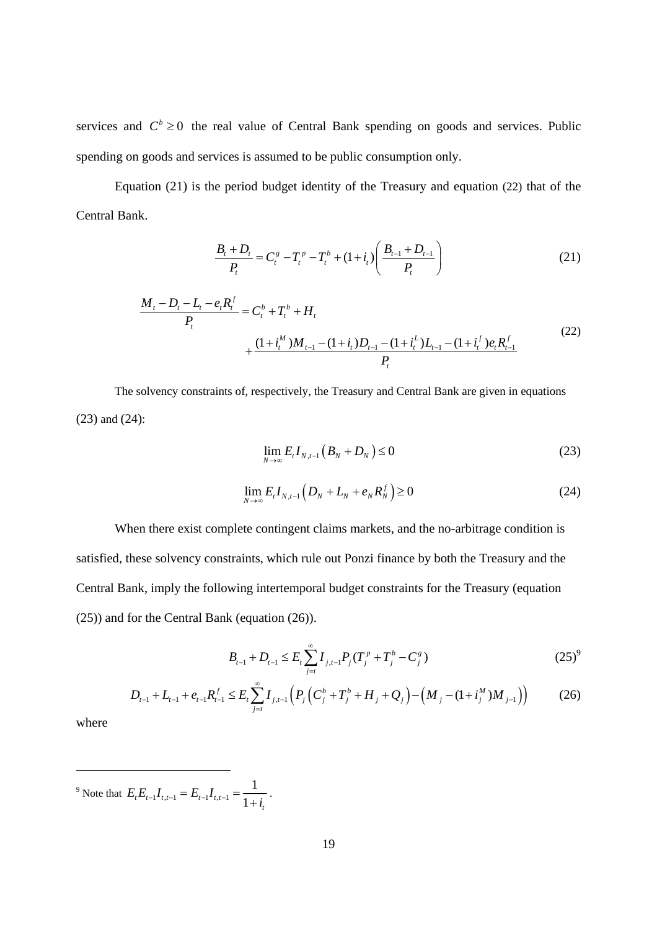services and  $C^b \ge 0$  the real value of Central Bank spending on goods and services. Public spending on goods and services is assumed to be public consumption only.

Equation (21) is the period budget identity of the Treasury and equation (22) that of the Central Bank.

$$
\frac{B_t + D_t}{P_t} = C_t^s - T_t^p - T_t^b + (1 + i_t) \left( \frac{B_{t-1} + D_{t-1}}{P_t} \right)
$$
(21)

$$
\frac{M_t - D_t - L_t - e_t R_t^f}{P_t} = C_t^b + T_t^b + H_t + \frac{(1 + i_t^M)M_{t-1} - (1 + i_t^L)D_{t-1} - (1 + i_t^L)L_{t-1} - (1 + i_t^L)e_t R_{t-1}^f}{P_t}
$$
\n
$$
(22)
$$

 The solvency constraints of, respectively, the Treasury and Central Bank are given in equations (23) and (24):

$$
\lim_{N \to \infty} E_t I_{N,t-1} \left( B_N + D_N \right) \le 0 \tag{23}
$$

$$
\lim_{N \to \infty} E_{t} I_{N,t-1} \left( D_{N} + L_{N} + e_{N} R_{N}^{f} \right) \ge 0 \tag{24}
$$

 When there exist complete contingent claims markets, and the no-arbitrage condition is satisfied, these solvency constraints, which rule out Ponzi finance by both the Treasury and the Central Bank, imply the following intertemporal budget constraints for the Treasury (equation (25)) and for the Central Bank (equation (26)).

$$
B_{t-1} + D_{t-1} \le E_t \sum_{j=t}^{\infty} I_{j,t-1} P_j (T_j^p + T_j^b - C_j^g)
$$
 (25)<sup>9</sup>

$$
D_{t-1} + L_{t-1} + e_{t-1} R_{t-1}^f \le E_t \sum_{j=t}^{\infty} I_{j,t-1} \left( P_j \left( C_j^b + T_j^b + H_j + Q_j \right) - \left( M_j - (1 + i_j^M) M_{j-1} \right) \right)
$$
(26)

where

<sup>9</sup> Note that  $E_t E_{t-1} I_{t,t-1} = E_{t-1} I_{t,t-1}$ 1  $\sum_{t-1}^{t} t_{t,t-1} - L_{t-1} t_{t,t-1} - \frac{1}{1+i_t}$  $E_t E_{t-1} I_{t,t-1} = E_{t-1} I_{t,t-1} = \frac{1}{1+i_t}.$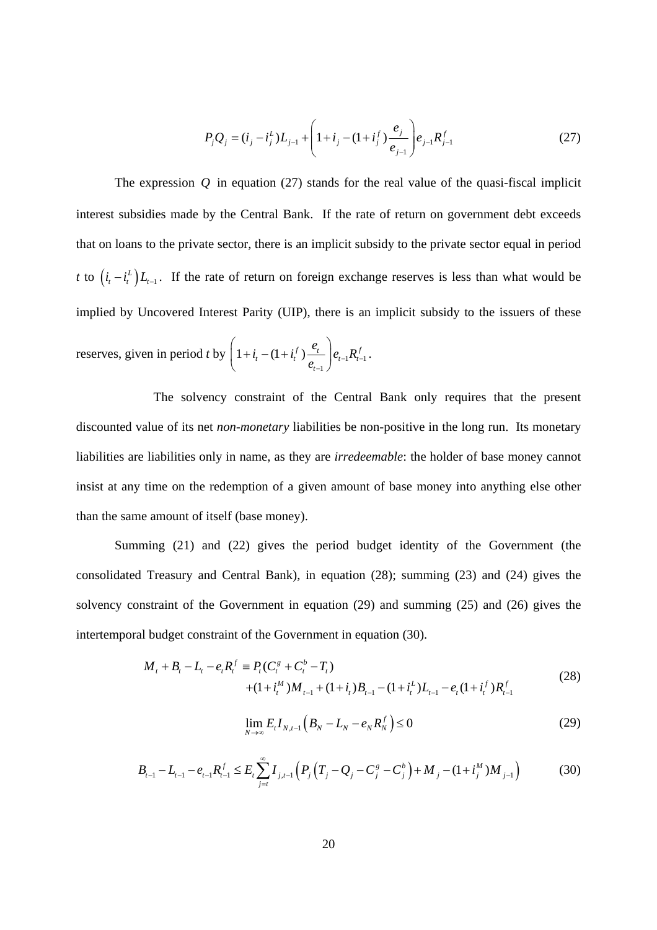$$
P_j Q_j = (i_j - i_j^L) L_{j-1} + \left(1 + i_j - (1 + i_j^f) \frac{e_j}{e_{j-1}}\right) e_{j-1} R_{j-1}^f
$$
 (27)

The expression  $Q$  in equation (27) stands for the real value of the quasi-fiscal implicit interest subsidies made by the Central Bank. If the rate of return on government debt exceeds that on loans to the private sector, there is an implicit subsidy to the private sector equal in period *t* to  $(i_i - i_i^L) L_{i-1}$ . If the rate of return on foreign exchange reserves is less than what would be implied by Uncovered Interest Parity (UIP), there is an implicit subsidy to the issuers of these reserves, given in period *t* by  $1 + i_t - (1 + i_t^f) - \frac{c_t}{r} \Big| e_{t-1} R_{t-1}^f$ 1  $1 + i_t - (1 + i_t^f) \frac{e_t}{\cdots} \Big| e_{t-1} R_t^f$ *t*  $i_{t} - (1 + i_{t}^{f}) \frac{e_{t}}{e_{t-1}} \bigg| e_{t-1} R$  $\overline{e_{t-1}}\int_{t-1}^{t}$  $\left(1+i_t-(1+i_t^f)\frac{e_t}{1+i_t}\right)$  $\begin{pmatrix} e_{t-1} \end{pmatrix}$ .

 The solvency constraint of the Central Bank only requires that the present discounted value of its net *non-monetary* liabilities be non-positive in the long run. Its monetary liabilities are liabilities only in name, as they are *irredeemable*: the holder of base money cannot insist at any time on the redemption of a given amount of base money into anything else other than the same amount of itself (base money).

Summing (21) and (22) gives the period budget identity of the Government (the consolidated Treasury and Central Bank), in equation (28); summing (23) and (24) gives the solvency constraint of the Government in equation (29) and summing (25) and (26) gives the intertemporal budget constraint of the Government in equation (30).

$$
M_{t} + B_{t} - L_{t} - e_{t}R_{t}^{f} \equiv P_{t}(C_{t}^{g} + C_{t}^{b} - T_{t})
$$
  
+ 
$$
(1 + i_{t}^{M})M_{t-1} + (1 + i_{t})B_{t-1} - (1 + i_{t}^{L})L_{t-1} - e_{t}(1 + i_{t}^{f})R_{t-1}^{f}
$$
(28)

$$
\lim_{N \to \infty} E_{t} I_{N,t-1} \left( B_{N} - L_{N} - e_{N} R_{N}^{f} \right) \leq 0 \tag{29}
$$

$$
B_{t-1} - L_{t-1} - e_{t-1} R_{t-1}^f \le E_t \sum_{j=t}^{\infty} I_{j,t-1} \left( P_j \left( T_j - Q_j - C_j^g - C_j^b \right) + M_j - (1 + i_j^M) M_{j-1} \right) \tag{30}
$$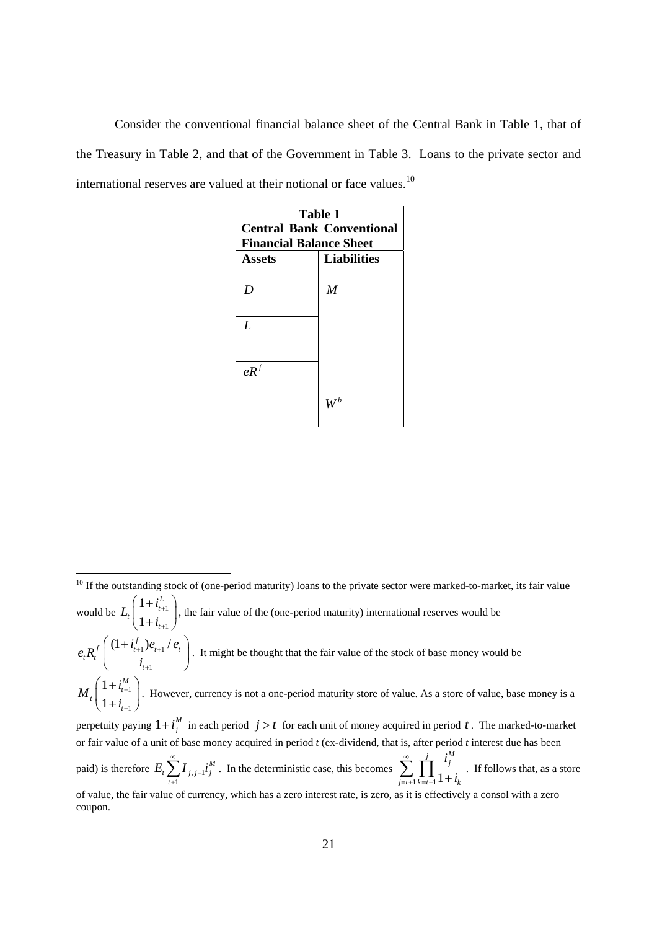Consider the conventional financial balance sheet of the Central Bank in Table 1, that of the Treasury in Table 2, and that of the Government in Table 3. Loans to the private sector and international reserves are valued at their notional or face values.<sup>10</sup>

| Table 1                          |                    |
|----------------------------------|--------------------|
| <b>Central Bank Conventional</b> |                    |
| <b>Financial Balance Sheet</b>   |                    |
| <b>Assets</b>                    | <b>Liabilities</b> |
|                                  |                    |
| D                                | $\boldsymbol{M}$   |
|                                  |                    |
| L                                |                    |
|                                  |                    |
|                                  |                    |
| eR <sup>f</sup>                  |                    |
|                                  |                    |
|                                  |                    |
|                                  |                    |

  $10$  If the outstanding stock of (one-period maturity) loans to the private sector were marked-to-market, its fair value would be  $L_t \left| \frac{1 + \nu_{t+1}}{1 - \nu_{t+1}} \right|$ 1 1 1 *L*  $t\left| \frac{1-t_{t}}{1-t_{t}}\right|$ *t*  $L_i\left(\frac{1+i}{l}\right)$ *i* +  $\left( \frac{1 + i_{t+1}^L}{1 + i_{t+1}} \right)$ , the fair value of the (one-period maturity) international reserves would be  $1$ <sup>t</sup> $t+1$ 1  $f_t R_t^f \left( \frac{(1+i_{t+1}^f)e_{t+1}/e_t}{i} \right)$ *t*  $e_{i}R_{i}^{f}\left(\frac{(1+i_{i+1}^{f})e_{i+1}}{(1+i_{i+1}^{f})e_{i+1}}\right)$ *i* + $1$ <sup> $\mu$ </sup> $t+$  $\left( \frac{(1+i_{t+1}^f) e_{t+1} / e_t}{i_{t+1}} \right)$ . It might be thought that the fair value of the stock of base money would be 1 1 1 1 *M*  $t\left| \frac{1+t}{1+t}\right|$ *t*  $M_{i}$  $\left( \frac{1+i}{1+i} \right)$ *i* +  $\left( \frac{1 + i_{t+1}^{M}}{1 + i_{t+1}} \right)$ . However, currency is not a one-period maturity store of value. As a store of value, base money is a perpetuity paying  $1 + i_j^M$  in each period  $j > t$  for each unit of money acquired in period t. The marked-to-market or fair value of a unit of base money acquired in period *t* (ex-dividend, that is, after period *t* interest due has been paid) is therefore  $E_i \sum I_{j,j-1}$ 1 *M*  $t \sum_{j}^{I} j_{j} = 1^{l} j$ *t*  $E_{i} \sum I_{i}$ <sub>i</sub> i<sub>i</sub> ∞ −  $\sum_{i=1} I_{j,j-1} i_j^M$ . In the deterministic case, this becomes  $\sum_{j=t+1} \prod_{k=t+1}$  $\frac{j}{\mathbf{I}}$   $i_j^M$  $j = t+1$   $k = t+1$  **1**  $\pm$  **t**<sub>k</sub> *i i*  $\sum_{i=t+1}^{\infty} \prod_{k=t+1}^{j} \frac{i_j^M}{1+i_k}$ . If follows that, as a store of value, the fair value of currency, which has a zero interest rate, is zero, as it is effectively a consol with a zero coupon.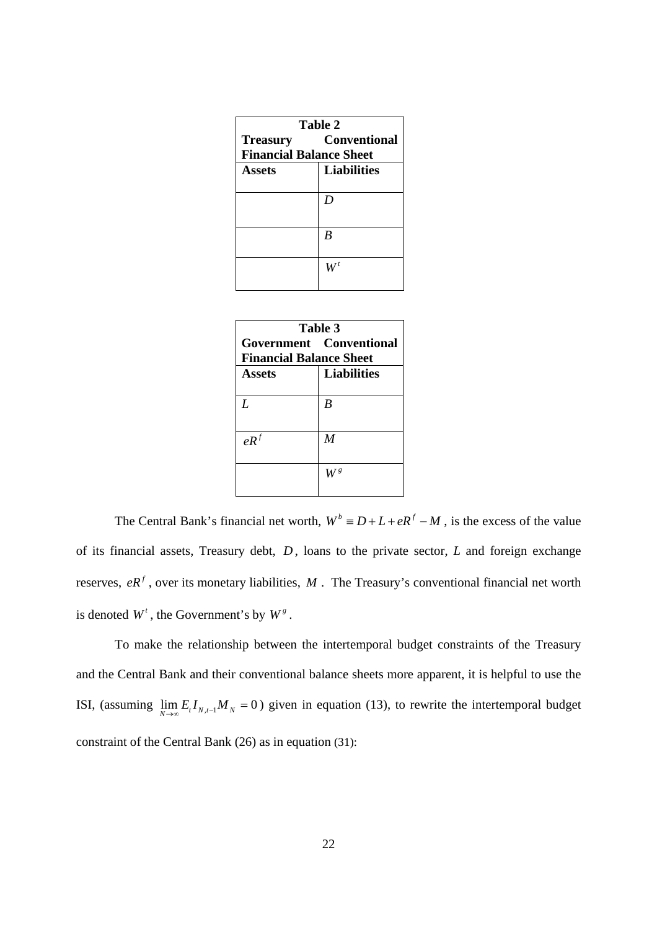| Table 2                        |                     |
|--------------------------------|---------------------|
| <b>Treasury</b>                | <b>Conventional</b> |
| <b>Financial Balance Sheet</b> |                     |
| <b>Assets</b>                  | <b>Liabilities</b>  |
|                                |                     |
|                                | D                   |
|                                |                     |
|                                | B                   |
|                                |                     |
|                                |                     |
|                                |                     |

| Table 3                        |                         |  |
|--------------------------------|-------------------------|--|
|                                | Government Conventional |  |
| <b>Financial Balance Sheet</b> |                         |  |
| <b>Assets</b>                  | <b>Liabilities</b>      |  |
|                                |                         |  |
| L                              | B                       |  |
|                                |                         |  |
| $e^{iR}$                       | $\boldsymbol{M}$        |  |
|                                |                         |  |
|                                |                         |  |
|                                |                         |  |
|                                |                         |  |

The Central Bank's financial net worth,  $W^b \equiv D + L + eR^f - M$ , is the excess of the value of its financial assets, Treasury debt, *D* , loans to the private sector, *L* and foreign exchange reserves,  $eR^f$ , over its monetary liabilities,  $M$ . The Treasury's conventional financial net worth is denoted  $W^t$ , the Government's by  $W^g$ .

 To make the relationship between the intertemporal budget constraints of the Treasury and the Central Bank and their conventional balance sheets more apparent, it is helpful to use the ISI, (assuming  $\lim_{N \to \infty} E_t I_{N,t-1} M_N = 0$ ) given in equation (13), to rewrite the intertemporal budget constraint of the Central Bank (26) as in equation (31):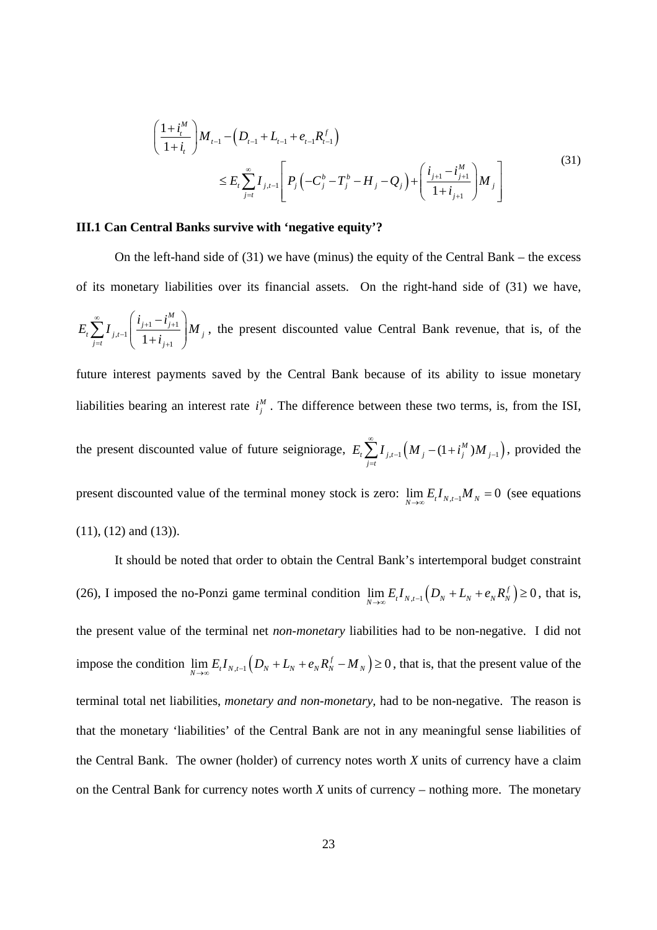$$
\left(\frac{1+i_{t}^{M}}{1+i_{t}}\right)M_{t-1} - \left(D_{t-1} + L_{t-1} + e_{t-1}R_{t-1}^{f}\right)
$$
\n
$$
\leq E_{t}\sum_{j=t}^{\infty}I_{j,t-1}\left[P_{j}\left(-C_{j}^{b}-T_{j}^{b}-H_{j}-Q_{j}\right)+\left(\frac{i_{j+1}-i_{j+1}^{M}}{1+i_{j+1}}\right)M_{j}\right]
$$
\n(31)

### **III.1 Can Central Banks survive with 'negative equity'?**

On the left-hand side of (31) we have (minus) the equity of the Central Bank – the excess of its monetary liabilities over its financial assets. On the right-hand side of (31) we have, 1  $\iota_{j+1}$  $n^{t-1}$   $\left( \frac{1+i}{1+i_{j+1}} \right)$ *M*  $j+1$   $j$  $t \sum_{j} I_{j,t-1}$   $\frac{1}{t}$   $\cdots$   $\frac{1}{t}$   $\cdots$  $j=t$   $\left(1+t_j\right)$  $i_{i+1} - i$  $E_t$ ,  $I_{i,t-1}$   $\frac{I_{j+1} - I_{j+1}}{I_{i-1}}$   $M$ *i*  $\sum_{i=1}^{\infty}$   $\left(i_{i+1}-i_{i+1}^M\right)$ −  $=t$   $1 \pm i$  $\sum_{j=i}^{\infty} I_{j,i-1} \left( \frac{i_{j+1} - i_{j+1}^M}{1 + i_{j+1}} \right) M_j$ , the present discounted value Central Bank revenue, that is, of the future interest payments saved by the Central Bank because of its ability to issue monetary liabilities bearing an interest rate  $i_j^M$ . The difference between these two terms, is, from the ISI, the present discounted value of future seigniorage,  $E_i \sum I_{j,t-1} (M_j - (1 + i^M_j) M_{j-1})$  $E_{\iota} \sum_{i=1}^{\infty} I_{i,i-1} (M_i - (1 + i^M_i)M)$  $-1$   $\binom{11}{j}$   $\binom{11}{j}$   $\binom{11}{j}$  $\sum_{j=i} I_{j,t-1} (M_j - (1 + i_j^M) M_{j-1}),$  provided the

present discounted value of the terminal money stock is zero:  $\lim_{N\to\infty} E_t I_{N,t-1} M_N = 0$  (see equations (11), (12) and (13)).

 $j = t$ 

It should be noted that order to obtain the Central Bank's intertemporal budget constraint (26), I imposed the no-Ponzi game terminal condition  $\lim_{N \to \infty} E_t I_{N,t-1} (D_N + L_N + e_N R_N^f) \ge 0$ , that is, the present value of the terminal net *non-monetary* liabilities had to be non-negative. I did not impose the condition  $\lim_{N\to\infty} E_t I_{N,t-1} (D_N + L_N + e_N R_N^f - M_N) \ge 0$ , that is, that the present value of the terminal total net liabilities, *monetary and non-monetary,* had to be non-negative. The reason is that the monetary 'liabilities' of the Central Bank are not in any meaningful sense liabilities of the Central Bank. The owner (holder) of currency notes worth *X* units of currency have a claim on the Central Bank for currency notes worth *X* units of currency – nothing more. The monetary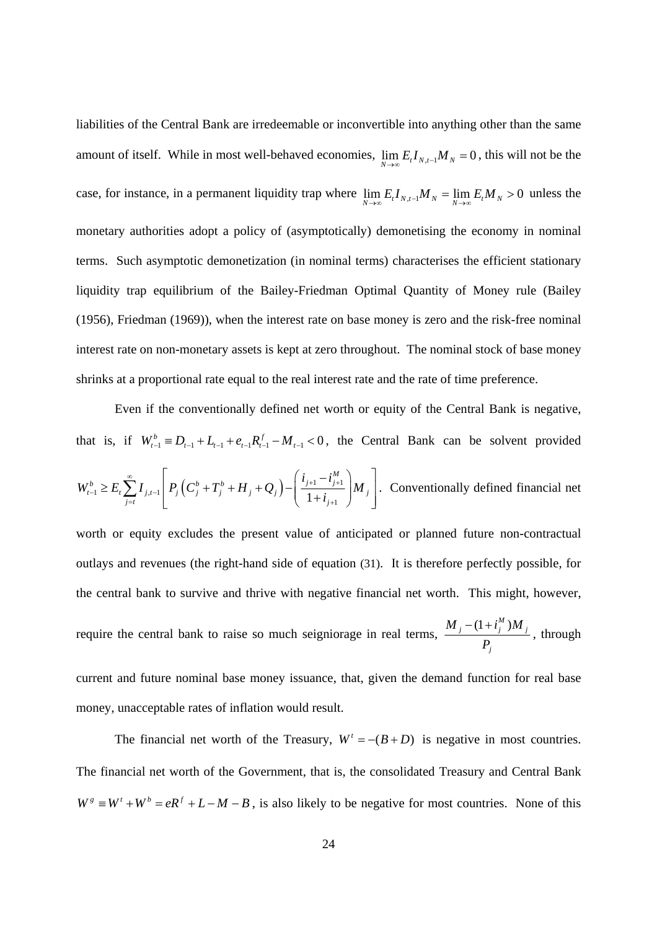liabilities of the Central Bank are irredeemable or inconvertible into anything other than the same amount of itself. While in most well-behaved economies,  $\lim_{N\to\infty} E_t I_{N,t-1} M_N = 0$ , this will not be the case, for instance, in a permanent liquidity trap where  $\lim_{N\to\infty} E_t I_{N,t-1} M_N = \lim_{N\to\infty} E_t M_N > 0$  unless the monetary authorities adopt a policy of (asymptotically) demonetising the economy in nominal terms. Such asymptotic demonetization (in nominal terms) characterises the efficient stationary liquidity trap equilibrium of the Bailey-Friedman Optimal Quantity of Money rule (Bailey (1956), Friedman (1969)), when the interest rate on base money is zero and the risk-free nominal interest rate on non-monetary assets is kept at zero throughout. The nominal stock of base money shrinks at a proportional rate equal to the real interest rate and the rate of time preference.

Even if the conventionally defined net worth or equity of the Central Bank is negative, that is, if  $W_{t-1}^b \equiv D_{t-1} + L_{t-1} + e_{t-1}R_{t-1}^f - M_{t-1} < 0$ , the Central Bank can be solvent provided  $\sum_{j=1}^{n} \sum_{j=1}^{n} I_{j,t-1} \left| P_j \left( C_j^b + T_j^b + H_{j} + Q_j \right) - \left( \frac{t_{j+1}}{1 + i_{j+1}} \right) \right|$ *M*  $b \sim E \sum I \mid D \left( C^b \cdot T^b \cdot H \cdot O \right) \mid l'$ <sub>j+1</sub>  $l'$ <sub>j</sub>  $t_{t-1} \leq L_t \sum_i I_{j,t-1} |I_j| \mathbf{C}_j + I_j + H_j + \mathbf{C}_j |I_{j+1}|$ *j*=*t*  $\qquad \qquad$   $\qquad \qquad$   $\qquad \qquad$   $\qquad \qquad$   $\qquad \qquad$   $\qquad \qquad$   $\qquad \qquad$   $\qquad \qquad$   $\qquad \qquad$   $\qquad \qquad$   $\qquad \qquad$   $\qquad$   $\qquad \qquad$   $\qquad$   $\qquad \qquad$   $\qquad$   $\qquad$   $\qquad$   $\qquad$   $\qquad$   $\qquad$   $\qquad$   $\qquad$   $\qquad$   $\qquad$   $\qquad$   $\qquad$   $\qquad$   $\qquad$   $i_{i+1} - i$  $W_{t-1}^b \geq E_t \sum_{j=t} I_{j,t-1} \left| P_j \left( C_j^b + T_j^b + H_{j} + Q_j \right) - \left( \frac{C_{j+1}^b - C_{j+1}^b}{1 + i_{j+1}} \right) M \right|$  $\sum_{i=1}^{\infty}$   $\binom{a}{b}$   $\binom{c}{c}$   $\sum_{i=1}^{\infty}$   $\binom{a}{b+1}$   $\binom{b}{b+1}$   $\binom{c}{b+1}$  $-1 = L_t \sum_i I_{j,t-1}$  $=t$   $\begin{pmatrix} 1+t_{j+1} & 1 \end{pmatrix}$  $\geq E_t \sum_{i,j=1}^{\infty} I_{i,j-1} \left| P_i \left( C_i^b + T_i^b + H_{i} + Q_i \right) - \left( \frac{i_{j+1} - i_{j+1}^M}{1 - i_{j+1}} \right) M_{i,j} \right|$  $\sum_{j=i} I_{j,t-1} \left[ P_j \left( C_j^b + T_j^b + H_j + Q_j \right) - \left( \frac{t_{j+1} - t_{j+1}}{1 + t_{j+1}} \right) M_j \right]$ . Conventionally defined financial net

worth or equity excludes the present value of anticipated or planned future non-contractual outlays and revenues (the right-hand side of equation (31). It is therefore perfectly possible, for the central bank to survive and thrive with negative financial net worth. This might, however, require the central bank to raise so much seigniorage in real terms,  $\frac{M_j - (1 + i_j^M) M_j}{I}$ *j*  $M_{i} - (1 + i_{i}^{M})M$ *P*  $- (1 +$ , through

current and future nominal base money issuance, that, given the demand function for real base money, unacceptable rates of inflation would result.

The financial net worth of the Treasury,  $W^t = -(B + D)$  is negative in most countries. The financial net worth of the Government, that is, the consolidated Treasury and Central Bank  $W^g \equiv W^t + W^b = eR^f + L - M - B$ , is also likely to be negative for most countries. None of this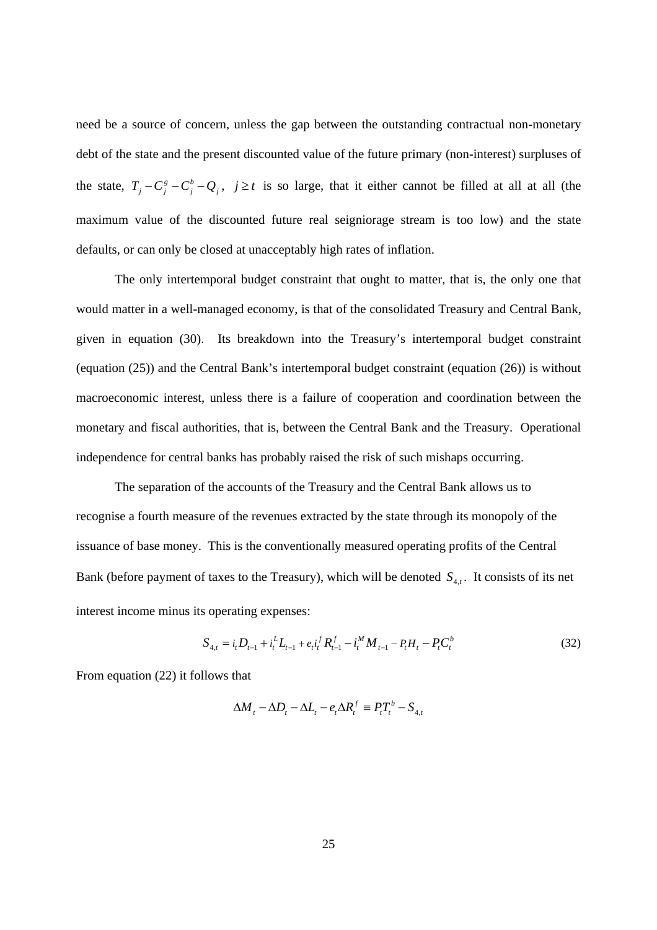need be a source of concern, unless the gap between the outstanding contractual non-monetary debt of the state and the present discounted value of the future primary (non-interest) surpluses of the state,  $T_j - C_j^g - C_j^b - Q_j$ ,  $j \ge t$  is so large, that it either cannot be filled at all at all (the maximum value of the discounted future real seigniorage stream is too low) and the state defaults, or can only be closed at unacceptably high rates of inflation.

 The only intertemporal budget constraint that ought to matter, that is, the only one that would matter in a well-managed economy, is that of the consolidated Treasury and Central Bank, given in equation (30). Its breakdown into the Treasury's intertemporal budget constraint (equation (25)) and the Central Bank's intertemporal budget constraint (equation (26)) is without macroeconomic interest, unless there is a failure of cooperation and coordination between the monetary and fiscal authorities, that is, between the Central Bank and the Treasury. Operational independence for central banks has probably raised the risk of such mishaps occurring.

 The separation of the accounts of the Treasury and the Central Bank allows us to recognise a fourth measure of the revenues extracted by the state through its monopoly of the issuance of base money. This is the conventionally measured operating profits of the Central Bank (before payment of taxes to the Treasury), which will be denoted  $S_{4,t}$ . It consists of its net interest income minus its operating expenses:

$$
S_{4,t} = i_t D_{t-1} + i_t^L L_{t-1} + e_t i_t^T R_{t-1}^f - i_t^M M_{t-1} - P_t H_t - P_t C_t^b
$$
\n(32)

From equation (22) it follows that

$$
\Delta M_t - \Delta D_t - \Delta L_t - e_t \Delta R_t^f \equiv P_t T_t^b - S_{4,t}
$$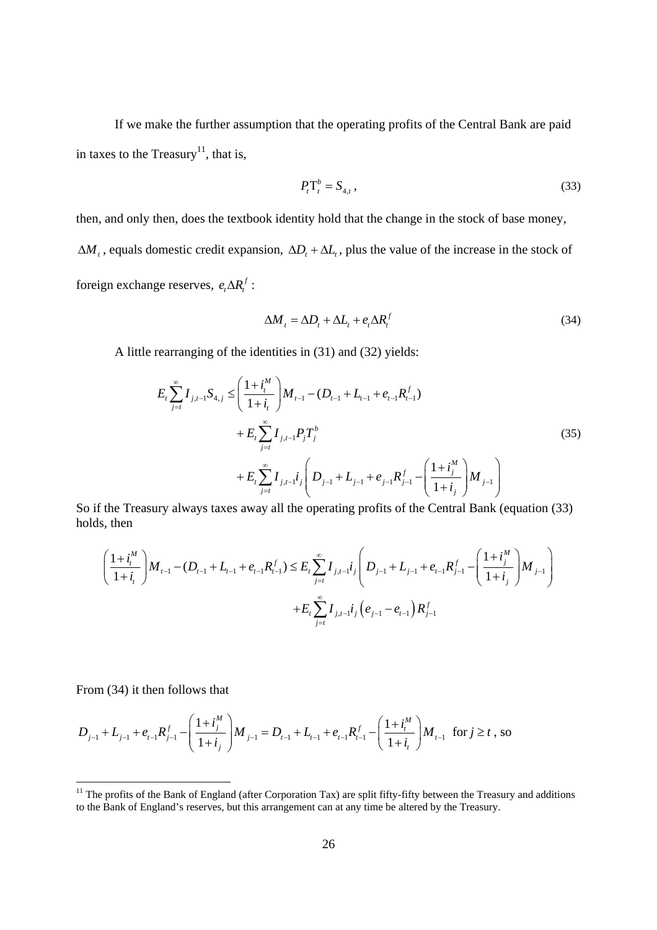If we make the further assumption that the operating profits of the Central Bank are paid in taxes to the Treasury<sup>11</sup>, that is,

$$
P_t^{\mathrm{T}_t^b} = S_{4,t} \,, \tag{33}
$$

then, and only then, does the textbook identity hold that the change in the stock of base money,  $\Delta M_t$ , equals domestic credit expansion,  $\Delta D_t + \Delta L_t$ , plus the value of the increase in the stock of foreign exchange reserves,  $e_t \Delta R_t^f$  :

$$
\Delta M_t = \Delta D_t + \Delta L_t + e_t \Delta R_t^f \tag{34}
$$

A little rearranging of the identities in (31) and (32) yields:

$$
E_{t} \sum_{j=t}^{\infty} I_{j,t-1} S_{4,j} \leq \left( \frac{1+i_{t}^{M}}{1+i_{t}} \right) M_{t-1} - (D_{t-1} + L_{t-1} + e_{t-1} R_{t-1}^{f})
$$
  
+ 
$$
E_{t} \sum_{j=t}^{\infty} I_{j,t-1} P_{j} T_{j}^{b}
$$
  
+ 
$$
E_{t} \sum_{j=t}^{\infty} I_{j,t-1} i_{j} \left( D_{j-1} + L_{j-1} + e_{j-1} R_{j-1}^{f} - \left( \frac{1+i_{j}^{M}}{1+i_{j}} \right) M_{j-1} \right)
$$
  
(35)

So if the Treasury always taxes away all the operating profits of the Central Bank (equation (33) holds, then

$$
\left(\frac{1+i_{i}^{M}}{1+i_{i}}\right)M_{t-1} - (D_{t-1} + L_{t-1} + e_{t-1}R_{t-1}^{f}) \leq E_{t} \sum_{j=t}^{\infty} I_{j,t-1}i_{j} \left(D_{j-1} + L_{j-1} + e_{t-1}R_{j-1}^{f} - \left(\frac{1+i_{j}^{M}}{1+i_{j}}\right)M_{j-1}\right) + E_{t} \sum_{j=t}^{\infty} I_{j,t-1}i_{j}\left(e_{j-1} - e_{t-1}\right)R_{j-1}^{f}
$$

From (34) it then follows that

$$
D_{j-1} + L_{j-1} + e_{t-1} R_{j-1}^f - \left(\frac{1+i_j^M}{1+i_j}\right) M_{j-1} = D_{t-1} + L_{t-1} + e_{t-1} R_{t-1}^f - \left(\frac{1+i_t^M}{1+i_t}\right) M_{t-1} \text{ for } j \ge t \text{, so}
$$

<sup>&</sup>lt;sup>11</sup> The profits of the Bank of England (after Corporation Tax) are split fifty-fifty between the Treasury and additions to the Bank of England's reserves, but this arrangement can at any time be altered by the Treasury.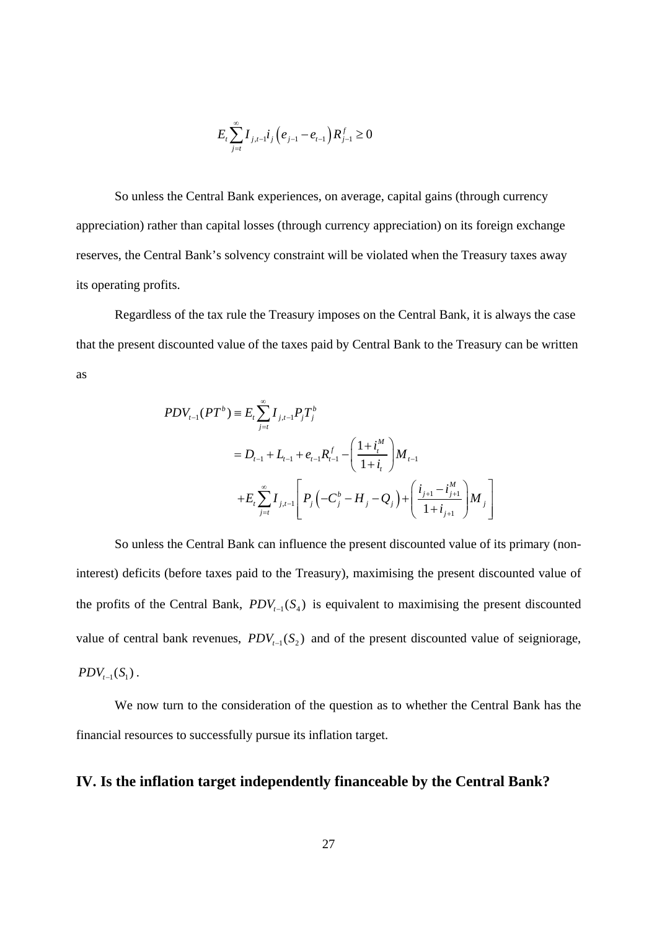$$
E_{t}\sum_{j=t}^{\infty}I_{j,t-1}i_{j}\left(e_{j-1}-e_{t-1}\right)R_{j-1}^{f}\geq0
$$

So unless the Central Bank experiences, on average, capital gains (through currency appreciation) rather than capital losses (through currency appreciation) on its foreign exchange reserves, the Central Bank's solvency constraint will be violated when the Treasury taxes away its operating profits.

Regardless of the tax rule the Treasury imposes on the Central Bank, it is always the case that the present discounted value of the taxes paid by Central Bank to the Treasury can be written as

$$
PDV_{t-1}(PT^{b}) \equiv E_{t} \sum_{j=t}^{\infty} I_{j,t-1} P_{j} T_{j}^{b}
$$
  
=  $D_{t-1} + L_{t-1} + e_{t-1} R_{t-1}^{f} - \left(\frac{1 + i_{t}^{M}}{1 + i_{t}}\right) M_{t-1}$   
+  $E_{t} \sum_{j=t}^{\infty} I_{j,t-1} \left[ P_{j} \left( -C_{j}^{b} - H_{j} - Q_{j} \right) + \left( \frac{i_{j+1} - i_{j+1}^{M}}{1 + i_{j+1}} \right) M_{j} \right]$ 

So unless the Central Bank can influence the present discounted value of its primary (noninterest) deficits (before taxes paid to the Treasury), maximising the present discounted value of the profits of the Central Bank,  $PDV_{t-1}(S_4)$  is equivalent to maximising the present discounted value of central bank revenues,  $PDV_{t-1}(S_2)$  and of the present discounted value of seigniorage,  $PDV_{t-1}(S_1)$ .

We now turn to the consideration of the question as to whether the Central Bank has the financial resources to successfully pursue its inflation target.

### **IV. Is the inflation target independently financeable by the Central Bank?**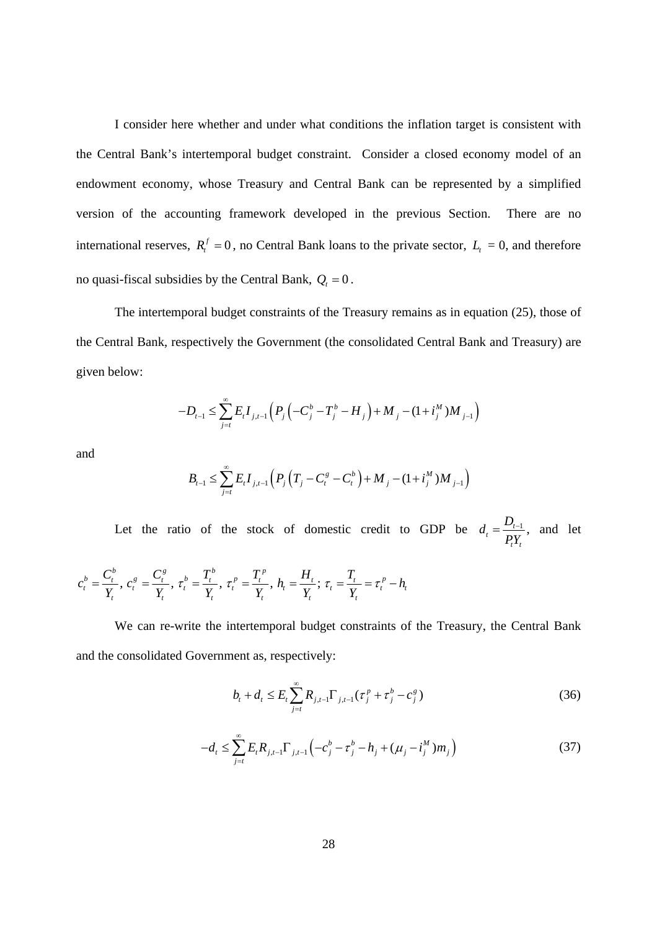I consider here whether and under what conditions the inflation target is consistent with the Central Bank's intertemporal budget constraint. Consider a closed economy model of an endowment economy, whose Treasury and Central Bank can be represented by a simplified version of the accounting framework developed in the previous Section. There are no international reserves,  $R_t^f = 0$ , no Central Bank loans to the private sector,  $L_t = 0$ , and therefore no quasi-fiscal subsidies by the Central Bank,  $Q_t = 0$ .

The intertemporal budget constraints of the Treasury remains as in equation (25), those of the Central Bank, respectively the Government (the consolidated Central Bank and Treasury) are given below:

$$
-D_{t-1} \leq \sum_{j=t}^{\infty} E_t I_{j,t-1} \left( P_j \left( -C_j^b - T_j^b - H_j \right) + M_j - (1 + i_j^M) M_{j-1} \right)
$$

and

$$
B_{t-1} \leq \sum_{j=t}^{\infty} E_t I_{j,t-1} \left( P_j \left( T_j - C_t^s - C_t^b \right) + M_j - (1 + i_j^M) M_{j-1} \right)
$$

Let the ratio of the stock of domestic credit to GDP be  $d_t = \frac{D_{t-1}}{DV}$ *t t*  $d_{t} = \frac{D}{a}$ *PY*  $=\frac{D_{t-1}}{2}$ , and let

$$
c_t^b = \frac{C_t^b}{Y_t}, \ c_t^s = \frac{C_t^s}{Y_t}, \ \tau_t^b = \frac{T_t^b}{Y_t}, \ \tau_t^p = \frac{T_t^p}{Y_t}, \ h_t = \frac{H_t}{Y_t}; \ \tau_t = \frac{T_t}{Y_t} = \tau_t^p - h_t
$$

 We can re-write the intertemporal budget constraints of the Treasury, the Central Bank and the consolidated Government as, respectively:

$$
b_{t} + d_{t} \leq E_{t} \sum_{j=t}^{\infty} R_{j,t-1} \Gamma_{j,t-1} (\tau_{j}^{p} + \tau_{j}^{b} - c_{j}^{g})
$$
\n(36)

$$
-d_{t} \leq \sum_{j=t}^{\infty} E_{t} R_{j,t-1} \Gamma_{j,t-1} \left( -c_{j}^{b} - \tau_{j}^{b} - h_{j} + (\mu_{j} - i_{j}^{M}) m_{j} \right)
$$
(37)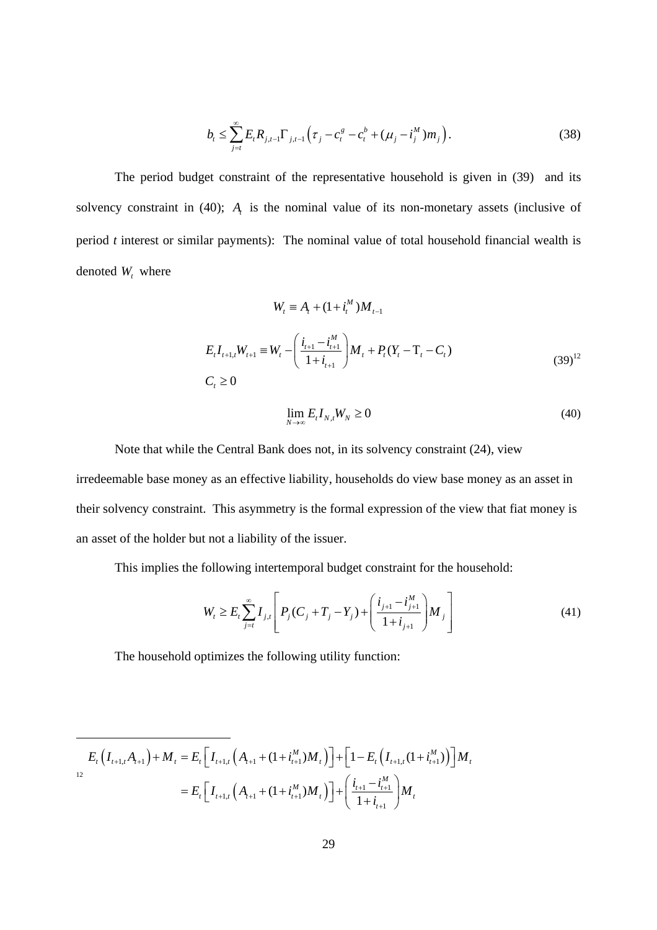$$
b_{t} \leq \sum_{j=t}^{\infty} E_{t} R_{j,t-1} \Gamma_{j,t-1} \left( \tau_{j} - c_{t}^{g} - c_{t}^{b} + (\mu_{j} - i_{j}^{M}) m_{j} \right). \tag{38}
$$

The period budget constraint of the representative household is given in (39) and its solvency constraint in (40);  $A_t$  is the nominal value of its non-monetary assets (inclusive of period *t* interest or similar payments): The nominal value of total household financial wealth is denoted  $W_t$ , where

$$
W_{t} = A_{t} + (1 + i_{t}^{M})M_{t-1}
$$
  
\n
$$
E_{t}I_{t+1,t}W_{t+1} = W_{t} - \left(\frac{i_{t+1} - i_{t+1}^{M}}{1 + i_{t+1}}\right)M_{t} + P_{t}(Y_{t} - T_{t} - C_{t})
$$
  
\n
$$
C_{t} \ge 0
$$
\n(39)<sup>12</sup>

$$
\lim_{N \to \infty} E_t I_{N,t} W_N \ge 0 \tag{40}
$$

Note that while the Central Bank does not, in its solvency constraint (24), view irredeemable base money as an effective liability, households do view base money as an asset in their solvency constraint. This asymmetry is the formal expression of the view that fiat money is an asset of the holder but not a liability of the issuer.

This implies the following intertemporal budget constraint for the household:

$$
W_{t} \geq E_{t} \sum_{j=t}^{\infty} I_{j,t} \left[ P_{j}(C_{j} + T_{j} - Y_{j}) + \left( \frac{i_{j+1} - i_{j+1}^{M}}{1 + i_{j+1}} \right) M_{j} \right]
$$
(41)

The household optimizes the following utility function:

$$
E_{t}\left(I_{t+1,t}A_{t+1}\right) + M_{t} = E_{t}\left[I_{t+1,t}\left(A_{t+1} + (1+i_{t+1}^{M})M_{t}\right)\right] + \left[1 - E_{t}\left(I_{t+1,t}(1+i_{t+1}^{M})\right)\right]M_{t}
$$
  
= 
$$
E_{t}\left[I_{t+1,t}\left(A_{t+1} + (1+i_{t+1}^{M})M_{t}\right)\right] + \left(\frac{i_{t+1} - i_{t+1}^{M}}{1+i_{t+1}}\right)M_{t}
$$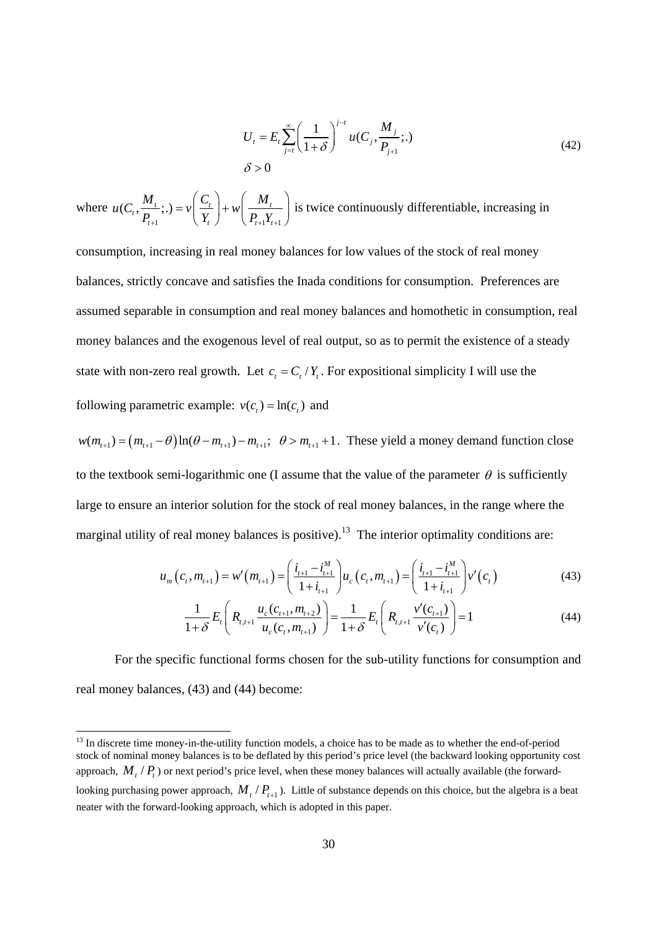$$
U_{t} = E_{t} \sum_{j=t}^{\infty} \left( \frac{1}{1+\delta} \right)^{j-t} u(C_{j}, \frac{M_{j}}{P_{j+1}};.)
$$
\n
$$
\delta > 0
$$
\n(42)

where 1  $\begin{cases} \mathbf{1} & \mathbf{1} \end{cases}$  $(C_t, \frac{m_t}{R};.) = v \frac{C_t}{V} + w \frac{m_t}{R}$  $t+1$   $\qquad \qquad$   $\qquad$   $\qquad$   $\qquad$   $\qquad$   $\qquad$   $\qquad$   $\qquad$   $\qquad$   $\qquad$   $\qquad$   $\qquad$   $\qquad$   $\qquad$   $\qquad$   $\qquad$   $\qquad$   $\qquad$   $\qquad$   $\qquad$   $\qquad$   $\qquad$   $\qquad$   $\qquad$   $\qquad$   $\qquad$   $\qquad$   $\qquad$   $\qquad$   $\qquad$   $\qquad$   $\qquad$   $\qquad$   $\qquad$   $\qquad$   $\$  $u(C_t, \frac{M_t}{\sigma};.) = v\left(\frac{C_t}{\sigma}\right) + w\left(\frac{M_t}{\sigma}\right)$  $P_{t+1}$ ,  $\left(Y_{t}\right)$   $\left(P_{t+1}Y_{t+1}\right)$  $(C_i \cap M_i)$  $= v \left( \frac{C_t}{Y_t} \right) + w \left( \frac{H_t}{P_{t+1} Y_{t+1}} \right)$  is twice continuously differentiable, increasing in

consumption, increasing in real money balances for low values of the stock of real money balances, strictly concave and satisfies the Inada conditions for consumption. Preferences are assumed separable in consumption and real money balances and homothetic in consumption, real money balances and the exogenous level of real output, so as to permit the existence of a steady state with non-zero real growth. Let  $c_t = C_t/Y_t$ . For expositional simplicity I will use the following parametric example:  $v(c_) = \ln(c_)$  and

 $w(m_{t+1}) = (m_{t+1} - \theta) \ln(\theta - m_{t+1}) - m_{t+1}$ ;  $\theta > m_{t+1} + 1$ . These yield a money demand function close to the textbook semi-logarithmic one (I assume that the value of the parameter  $\theta$  is sufficiently large to ensure an interior solution for the stock of real money balances, in the range where the marginal utility of real money balances is positive).<sup>13</sup> The interior optimality conditions are:

$$
u_m(c_t, m_{t+1}) = w'(m_{t+1}) = \left(\frac{i_{t+1} - i_{t+1}^M}{1 + i_{t+1}}\right)u_c(c_t, m_{t+1}) = \left(\frac{i_{t+1} - i_{t+1}^M}{1 + i_{t+1}}\right)v'(c_t)
$$
(43)

$$
\frac{1}{1+\delta}E_t\left(R_{t,t+1}\frac{u_c(c_{t+1},m_{t+2})}{u_c(c_t,m_{t+1})}\right) = \frac{1}{1+\delta}E_t\left(R_{t,t+1}\frac{v'(c_{t+1})}{v'(c_t)}\right) = 1\tag{44}
$$

For the specific functional forms chosen for the sub-utility functions for consumption and real money balances, (43) and (44) become:

<sup>&</sup>lt;sup>13</sup> In discrete time money-in-the-utility function models, a choice has to be made as to whether the end-of-period stock of nominal money balances is to be deflated by this period's price level (the backward looking opportunity cost approach,  $M$ ,  $\neq$   $P$ ,  $\geq$  or next period's price level, when these money balances will actually available (the forward-

looking purchasing power approach,  $M_t / P_{t+1}$ . Little of substance depends on this choice, but the algebra is a beat neater with the forward-looking approach, which is adopted in this paper.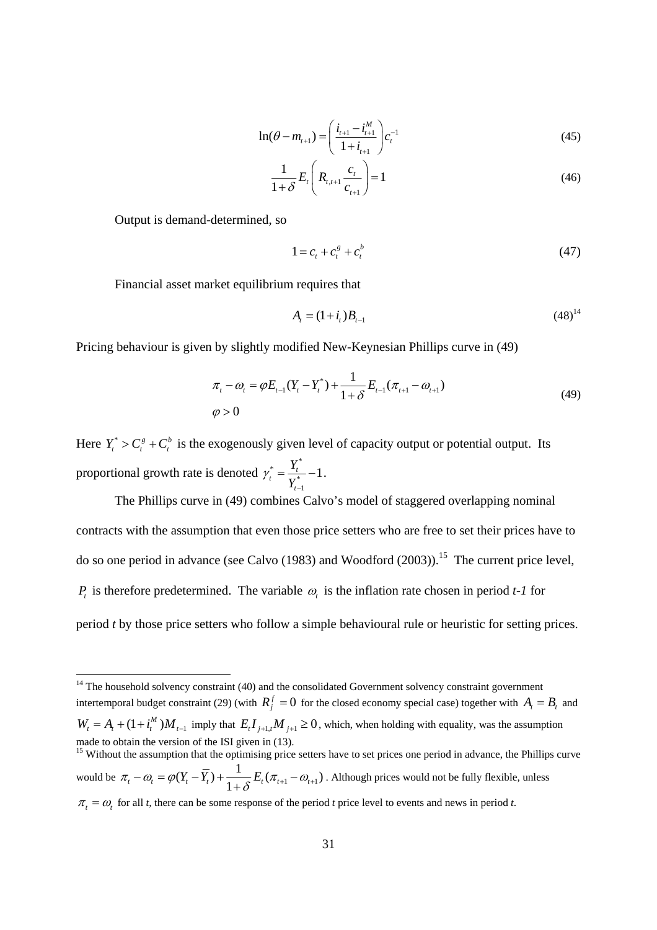$$
\ln(\theta - m_{t+1}) = \left(\frac{i_{t+1} - i_{t+1}^M}{1 + i_{t+1}}\right) c_t^{-1}
$$
\n(45)

$$
\frac{1}{1+\delta}E_t\left(R_{t,t+1}\frac{c_t}{c_{t+1}}\right) = 1\tag{46}
$$

Output is demand-determined, so

$$
1 = c_t + c_t^g + c_t^b \tag{47}
$$

Financial asset market equilibrium requires that

$$
A_t = (1 + i_t)B_{t-1} \tag{48}^{14}
$$

Pricing behaviour is given by slightly modified New-Keynesian Phillips curve in (49)

$$
\pi_{t} - \omega_{t} = \varphi E_{t-1}(Y_{t} - Y_{t}^{*}) + \frac{1}{1+\delta} E_{t-1}(\pi_{t+1} - \omega_{t+1})
$$
\n
$$
\varphi > 0
$$
\n(49)

Here  $Y_t^* > C_t^s + C_t^b$  is the exogenously given level of capacity output or potential output. Its proportional growth rate is denoted  $\overline{Y}_t^*$  $\frac{1}{t} = \frac{I_t}{V^*} - 1$ 1 *t Y*  $\gamma_t^* = \frac{I_t}{Y_{t-1}^*} - 1$ . −

The Phillips curve in (49) combines Calvo's model of staggered overlapping nominal contracts with the assumption that even those price setters who are free to set their prices have to do so one period in advance (see Calvo  $(1983)$  and Woodford  $(2003)$ ).<sup>15</sup> The current price level, *P<sub>t</sub>* is therefore predetermined. The variable  $\omega$ <sub>*t*</sub> is the inflation rate chosen in period *t-1* for period *t* by those price setters who follow a simple behavioural rule or heuristic for setting prices.

 $14$  The household solvency constraint (40) and the consolidated Government solvency constraint government intertemporal budget constraint (29) (with  $R_i^f = 0$  for the closed economy special case) together with  $A_i = B_i$  and  $W_t = A_t + (1 + i_t^M)M_{t-1}$  imply that  $E_t I_{t+1,t} M_{t+1} \ge 0$ , which, when holding with equality, was the assumption made to obtain the version of the ISI given in (13).

<sup>&</sup>lt;sup>15</sup> Without the assumption that the optimising price setters have to set prices one period in advance, the Phillips curve would be  $\pi_{t} - \omega_{t} = \varphi(Y_{t} - \overline{Y}_{t}) + \frac{1}{1+\delta} E_{t}(\pi_{t+1} - \omega_{t+1})$ . Although prices would not be fully flexible, unless  $\pi_t = \omega_t$  for all *t*, there can be some response of the period *t* price level to events and news in period *t*.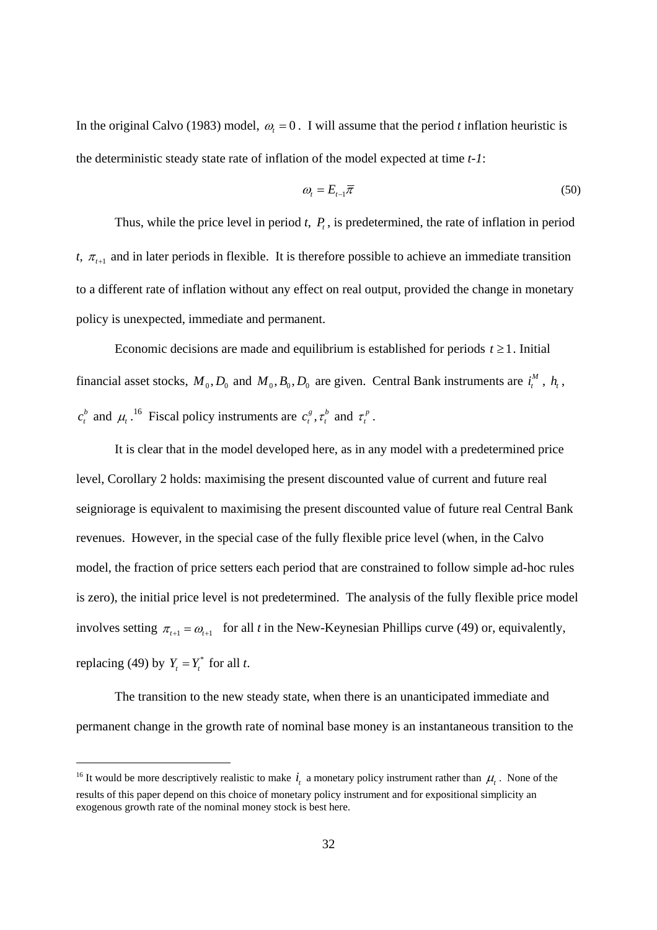In the original Calvo (1983) model,  $\omega_t = 0$ . I will assume that the period *t* inflation heuristic is the deterministic steady state rate of inflation of the model expected at time *t-1*:

$$
\omega_t = E_{t-1}\overline{\pi} \tag{50}
$$

Thus, while the price level in period  $t$ ,  $P_t$ , is predetermined, the rate of inflation in period *t,*  $\pi$ <sub>t+1</sub> and in later periods in flexible. It is therefore possible to achieve an immediate transition to a different rate of inflation without any effect on real output, provided the change in monetary policy is unexpected, immediate and permanent.

Economic decisions are made and equilibrium is established for periods  $t \ge 1$ . Initial financial asset stocks,  $M_0$ ,  $D_0$  and  $M_0$ ,  $B_0$ ,  $D_0$  are given. Central Bank instruments are  $i_t^M$ ,  $h_t$ ,  $c_t^b$  and  $\mu_t$ .<sup>16</sup> Fiscal policy instruments are  $c_t^s$ ,  $\tau_t^b$  and  $\tau_t^p$ .

It is clear that in the model developed here, as in any model with a predetermined price level, Corollary 2 holds: maximising the present discounted value of current and future real seigniorage is equivalent to maximising the present discounted value of future real Central Bank revenues. However, in the special case of the fully flexible price level (when, in the Calvo model, the fraction of price setters each period that are constrained to follow simple ad-hoc rules is zero), the initial price level is not predetermined. The analysis of the fully flexible price model involves setting  $\pi_{t+1} = \omega_{t+1}$  for all *t* in the New-Keynesian Phillips curve (49) or, equivalently, replacing (49) by  $Y_t = Y_t^*$  for all *t*.

The transition to the new steady state, when there is an unanticipated immediate and permanent change in the growth rate of nominal base money is an instantaneous transition to the

<sup>&</sup>lt;sup>16</sup> It would be more descriptively realistic to make  $i_t$  a monetary policy instrument rather than  $\mu_t$ . None of the results of this paper depend on this choice of monetary policy instrument and for expositional simplicity an exogenous growth rate of the nominal money stock is best here.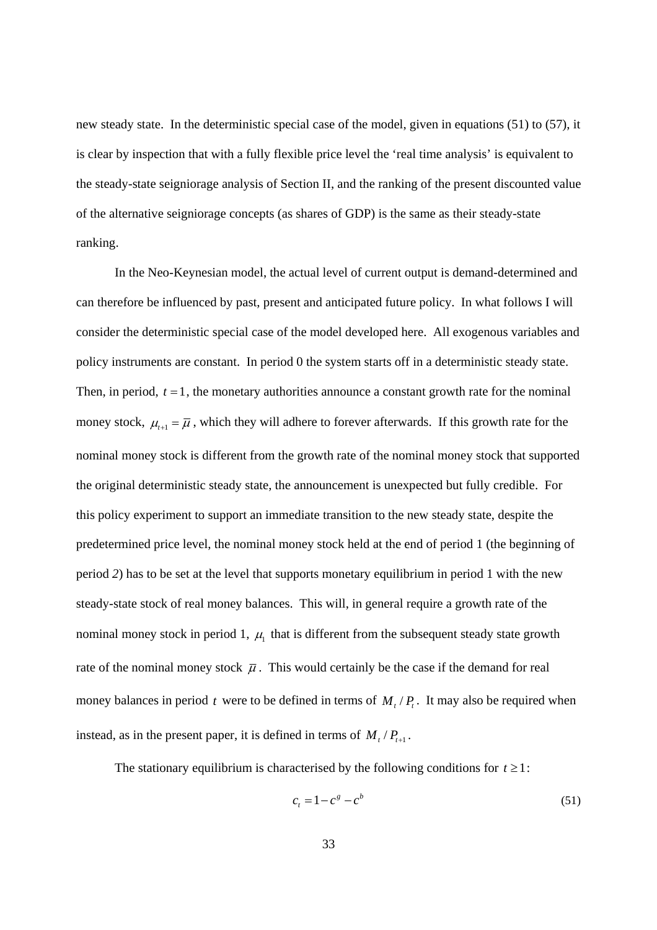new steady state. In the deterministic special case of the model, given in equations (51) to (57), it is clear by inspection that with a fully flexible price level the 'real time analysis' is equivalent to the steady-state seigniorage analysis of Section II, and the ranking of the present discounted value of the alternative seigniorage concepts (as shares of GDP) is the same as their steady-state ranking.

In the Neo-Keynesian model, the actual level of current output is demand-determined and can therefore be influenced by past, present and anticipated future policy. In what follows I will consider the deterministic special case of the model developed here. All exogenous variables and policy instruments are constant. In period 0 the system starts off in a deterministic steady state. Then, in period,  $t = 1$ , the monetary authorities announce a constant growth rate for the nominal money stock,  $\mu_{t+1} = \overline{\mu}$ , which they will adhere to forever afterwards. If this growth rate for the nominal money stock is different from the growth rate of the nominal money stock that supported the original deterministic steady state, the announcement is unexpected but fully credible. For this policy experiment to support an immediate transition to the new steady state, despite the predetermined price level, the nominal money stock held at the end of period 1 (the beginning of period *2*) has to be set at the level that supports monetary equilibrium in period 1 with the new steady-state stock of real money balances. This will, in general require a growth rate of the nominal money stock in period 1,  $\mu_1$  that is different from the subsequent steady state growth rate of the nominal money stock  $\bar{\mu}$ . This would certainly be the case if the demand for real money balances in period  $t$  were to be defined in terms of  $M_t$ ,  $\ell$ . It may also be required when instead, as in the present paper, it is defined in terms of  $M_t / P_{t+1}$ .

The stationary equilibrium is characterised by the following conditions for  $t \geq 1$ :

$$
c_t = 1 - c^s - c^b \tag{51}
$$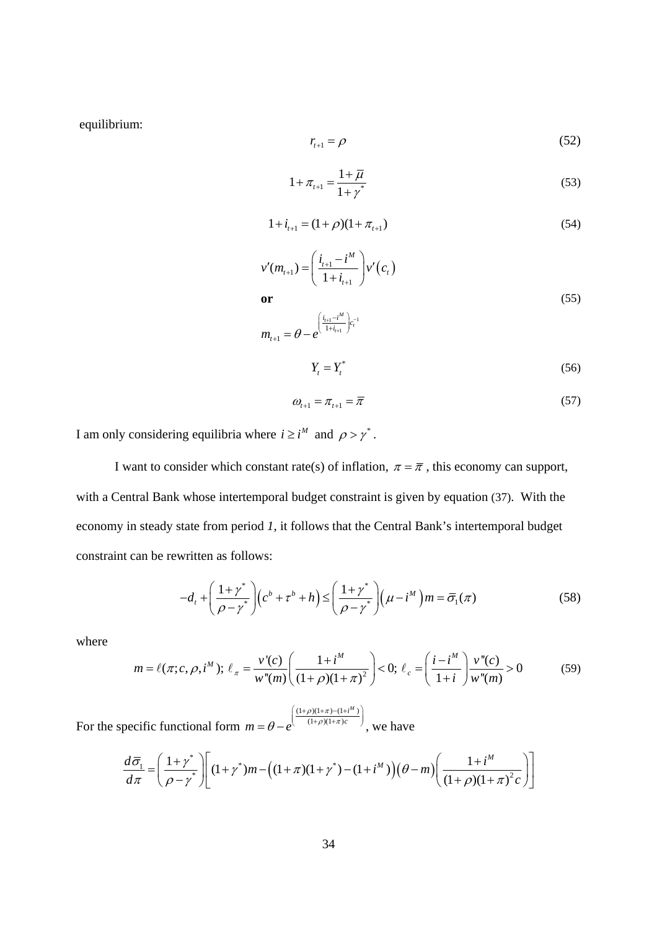equilibrium:

$$
r_{t+1} = \rho \tag{52}
$$

$$
1 + \pi_{t+1} = \frac{1 + \overline{\mu}}{1 + \gamma^*}
$$
 (53)

$$
1 + i_{t+1} = (1+\rho)(1+\pi_{t+1})
$$
\n(54)

$$
v'(m_{t+1}) = \left(\frac{i_{t+1} - i^M}{1 + i_{t+1}}\right) v'(c_t)
$$
  
\nor  
\n
$$
m_{t+1} = \theta - e^{\left(\frac{i_{t+1} - i^M}{1 + i_{t+1}}\right) c_t^{-1}}
$$
\n
$$
Y_t = Y_t^*
$$
\n(56)

$$
\omega_{t+1} = \pi_{t+1} = \overline{\pi} \tag{57}
$$

I am only considering equilibria where  $i \ge i^M$  and  $\rho > \gamma^*$ .

I want to consider which constant rate(s) of inflation,  $\pi = \overline{\pi}$ , this economy can support, with a Central Bank whose intertemporal budget constraint is given by equation (37). With the economy in steady state from period *1,* it follows that the Central Bank's intertemporal budget constraint can be rewritten as follows:

$$
-d_t + \left(\frac{1+\gamma^*}{\rho-\gamma^*}\right)\left(c^b + \tau^b + h\right) \le \left(\frac{1+\gamma^*}{\rho-\gamma^*}\right)\left(\mu - i^M\right)m = \overline{\sigma}_1(\pi) \tag{58}
$$

where

$$
m = \ell(\pi; c, \rho, i^M); \ \ell_{\pi} = \frac{v'(c)}{w''(m)} \left( \frac{1 + i^M}{(1 + \rho)(1 + \pi)^2} \right) < 0; \ \ell_c = \left( \frac{i - i^M}{1 + i} \right) \frac{v''(c)}{w''(m)} > 0 \tag{59}
$$

For the specific functional form  $(1+\rho)(1+\pi) - (1+i^M)$  $(1 + \rho)(1 + \pi)$ *Mi*  $m = \theta - e^{-\left(\frac{(1+\rho)(1+\pi)-(1+\rho)(1+\pi)c}{(1+\rho)(1+\pi)c}\right)}$  $= \theta - e^{\left(\frac{(1+\rho)(1+\pi)-(1+i^M)}{(1+\rho)(1+\pi)c}\right)}$ , we have

$$
\frac{d\overline{\sigma}_1}{d\pi} = \left(\frac{1+\gamma^*}{\rho-\gamma^*}\right) \left[ (1+\gamma^*)m - \left( (1+\pi)(1+\gamma^*) - (1+i^M) \right) \left( \theta - m \right) \left( \frac{1+i^M}{\left(1+\rho\right) \left(1+\pi\right)^2 c} \right) \right]
$$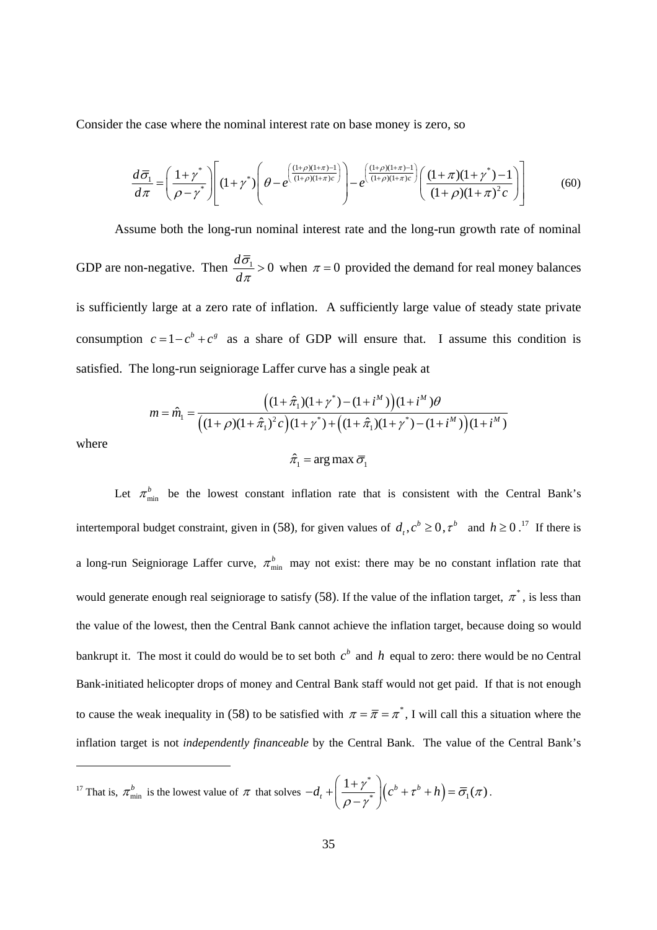Consider the case where the nominal interest rate on base money is zero, so

$$
\frac{d\overline{\sigma}_1}{d\pi} = \left(\frac{1+\gamma^*}{\rho-\gamma^*}\right) \left[ (1+\gamma^*) \left(\theta - e^{\left(\frac{(1+\rho)(1+\pi)-1}{(1+\rho)(1+\pi)c}\right)}\right) - e^{\left(\frac{(1+\rho)(1+\pi)-1}{(1+\rho)(1+\pi)c}\right)} \left(\frac{(1+\pi)(1+\gamma^*)-1}{(1+\rho)(1+\pi)^2c}\right) \right] \tag{60}
$$

Assume both the long-run nominal interest rate and the long-run growth rate of nominal GDP are non-negative. Then  $\frac{d\bar{\sigma}_1}{d} > 0$ *d* σ  $\frac{U_1}{\pi} > 0$  when  $\pi = 0$  provided the demand for real money balances is sufficiently large at a zero rate of inflation. A sufficiently large value of steady state private consumption  $c = 1 - c^b + c^s$  as a share of GDP will ensure that. I assume this condition is satisfied. The long-run seigniorage Laffer curve has a single peak at

$$
m = \hat{m}_1 = \frac{\left( (1 + \hat{\pi}_1)(1 + \gamma^*) - (1 + i^M) \right) (1 + i^M) \theta}{\left( (1 + \rho)(1 + \hat{\pi}_1)^2 c \right) (1 + \gamma^*) + \left( (1 + \hat{\pi}_1)(1 + \gamma^*) - (1 + i^M) \right) (1 + i^M)}
$$

where

$$
\hat{\pi}_1 = \arg \max \overline{\sigma}_1
$$

Let  $\pi_{\min}^b$  be the lowest constant inflation rate that is consistent with the Central Bank's intertemporal budget constraint, given in (58), for given values of  $d_t, c^b \ge 0, \tau^b$  and  $h \ge 0$ .<sup>17</sup> If there is a long-run Seigniorage Laffer curve,  $\pi_{\min}^b$  may not exist: there may be no constant inflation rate that would generate enough real seigniorage to satisfy (58). If the value of the inflation target,  $\pi^*$ , is less than the value of the lowest, then the Central Bank cannot achieve the inflation target, because doing so would bankrupt it. The most it could do would be to set both  $c<sup>b</sup>$  and  $h$  equal to zero: there would be no Central Bank-initiated helicopter drops of money and Central Bank staff would not get paid. If that is not enough to cause the weak inequality in (58) to be satisfied with  $\pi = \bar{\pi} = \pi^*$ , I will call this a situation where the inflation target is not *independently financeable* by the Central Bank. The value of the Central Bank's

<sup>17</sup> That is,  $\pi_{\min}^b$  is the lowest value of  $\pi$  that solves  $-d_t + \left(\frac{1+\gamma^*}{\rho-\gamma^*}\right)\left(c^b + \tau^b + h\right) = \overline{\sigma}_1(\pi)$  $-d_{t}+\left(\frac{1+\gamma^{*}}{\rho-\gamma^{*}}\right)\left(c^{b}+\tau^{b}+h\right)=\overline{\sigma}_{1}(\pi).$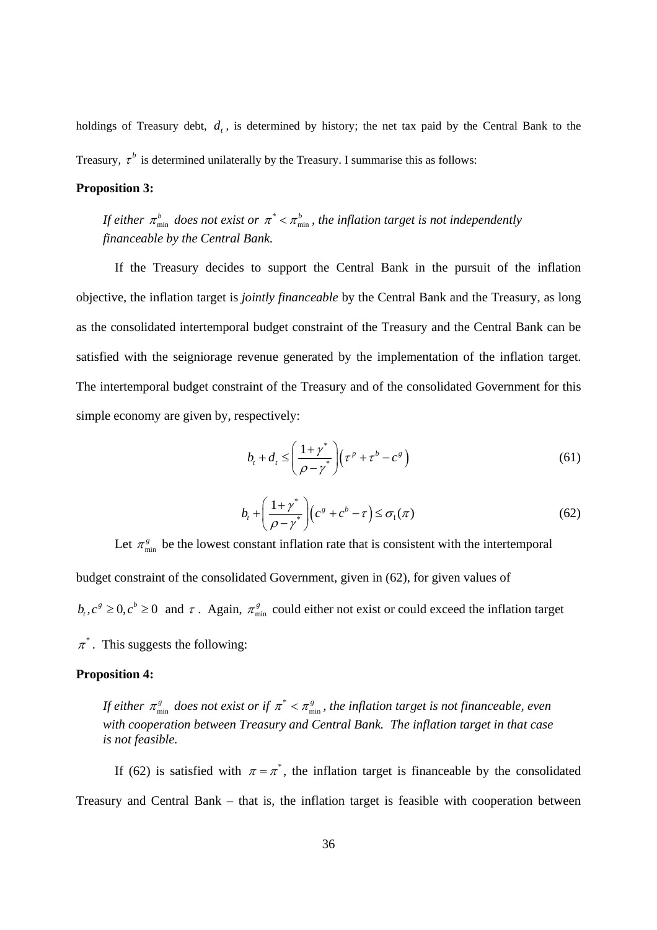holdings of Treasury debt,  $d_t$ , is determined by history; the net tax paid by the Central Bank to the Treasury,  $\tau^b$  is determined unilaterally by the Treasury. I summarise this as follows:

### **Proposition 3:**

*If either*  $\pi_{\min}^b$  does not exist or  $\pi^* < \pi_{\min}^b$ , the inflation target is not independently *financeable by the Central Bank.* 

If the Treasury decides to support the Central Bank in the pursuit of the inflation objective, the inflation target is *jointly financeable* by the Central Bank and the Treasury, as long as the consolidated intertemporal budget constraint of the Treasury and the Central Bank can be satisfied with the seigniorage revenue generated by the implementation of the inflation target. The intertemporal budget constraint of the Treasury and of the consolidated Government for this simple economy are given by, respectively:

$$
b_t + d_t \leq \left(\frac{1+\gamma^*}{\rho - \gamma^*}\right) \left(\tau^p + \tau^b - c^s\right) \tag{61}
$$

$$
b_{t} + \left(\frac{1+\gamma^{*}}{\rho-\gamma^{*}}\right)\left(c^{g}+c^{b}-\tau\right) \leq \sigma_{1}(\pi)
$$
\n(62)

Let  $\pi_{\min}^g$  be the lowest constant inflation rate that is consistent with the intertemporal budget constraint of the consolidated Government, given in (62), for given values of  $b_t$ ,  $c^g \ge 0$ ,  $c^b \ge 0$  and  $\tau$ . Again,  $\pi_{\min}^g$  could either not exist or could exceed the inflation target  $\pi^*$ . This suggests the following:

### **Proposition 4:**

*If either*  $\pi_{\min}^s$  does not exist or if  $\pi^* < \pi_{\min}^s$ , the inflation target is not financeable, even *with cooperation between Treasury and Central Bank. The inflation target in that case is not feasible.* 

If (62) is satisfied with  $\pi = \pi^*$ , the inflation target is financeable by the consolidated Treasury and Central Bank – that is, the inflation target is feasible with cooperation between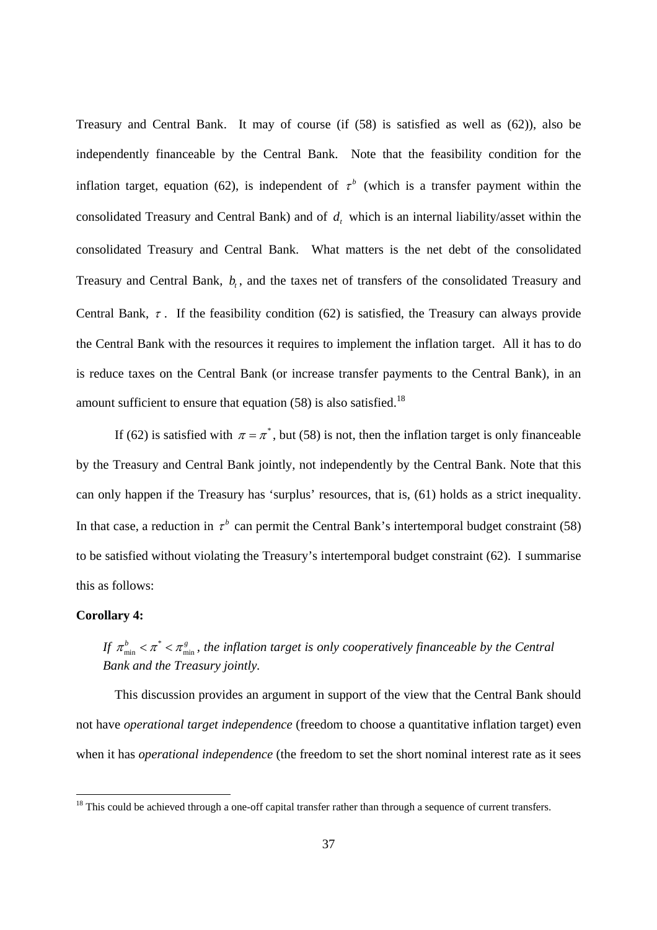Treasury and Central Bank. It may of course (if (58) is satisfied as well as (62)), also be independently financeable by the Central Bank. Note that the feasibility condition for the inflation target, equation (62), is independent of  $\tau^b$  (which is a transfer payment within the consolidated Treasury and Central Bank) and of  $d_t$ , which is an internal liability/asset within the consolidated Treasury and Central Bank. What matters is the net debt of the consolidated Treasury and Central Bank,  $b_t$ , and the taxes net of transfers of the consolidated Treasury and Central Bank,  $\tau$ . If the feasibility condition (62) is satisfied, the Treasury can always provide the Central Bank with the resources it requires to implement the inflation target. All it has to do is reduce taxes on the Central Bank (or increase transfer payments to the Central Bank), in an amount sufficient to ensure that equation  $(58)$  is also satisfied.<sup>18</sup>

If (62) is satisfied with  $\pi = \pi^*$ , but (58) is not, then the inflation target is only financeable by the Treasury and Central Bank jointly, not independently by the Central Bank. Note that this can only happen if the Treasury has 'surplus' resources, that is, (61) holds as a strict inequality. In that case, a reduction in  $\tau^b$  can permit the Central Bank's intertemporal budget constraint (58) to be satisfied without violating the Treasury's intertemporal budget constraint (62). I summarise this as follows:

### **Corollary 4:**

# *If*  $\pi_{\min}^b < \pi^* < \pi_{\min}^s$ , the inflation target is only cooperatively financeable by the Central *Bank and the Treasury jointly.*

 This discussion provides an argument in support of the view that the Central Bank should not have *operational target independence* (freedom to choose a quantitative inflation target) even when it has *operational independence* (the freedom to set the short nominal interest rate as it sees

 $18$  This could be achieved through a one-off capital transfer rather than through a sequence of current transfers.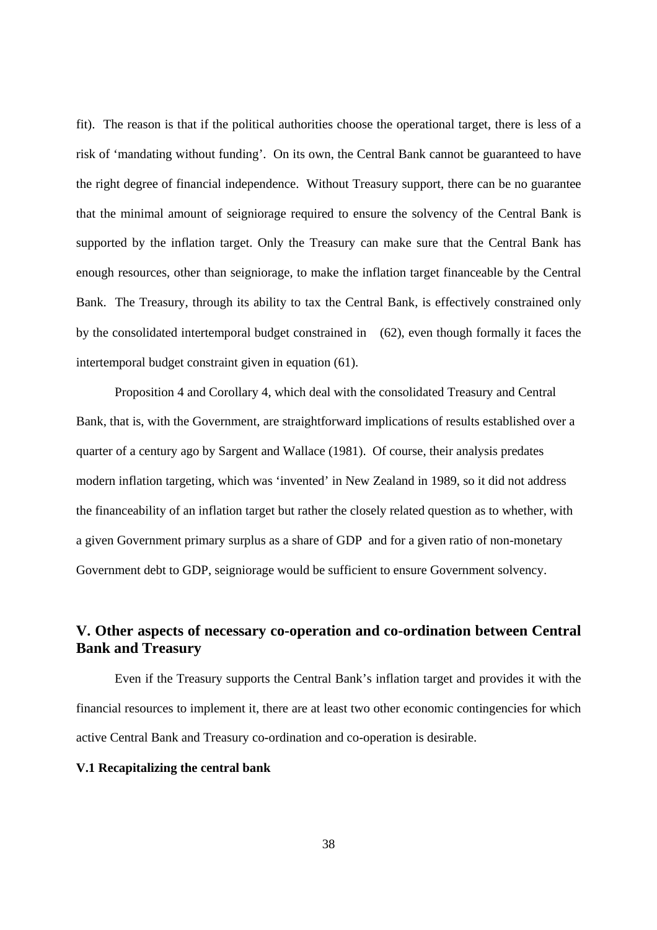fit). The reason is that if the political authorities choose the operational target, there is less of a risk of 'mandating without funding'. On its own, the Central Bank cannot be guaranteed to have the right degree of financial independence. Without Treasury support, there can be no guarantee that the minimal amount of seigniorage required to ensure the solvency of the Central Bank is supported by the inflation target. Only the Treasury can make sure that the Central Bank has enough resources, other than seigniorage, to make the inflation target financeable by the Central Bank. The Treasury, through its ability to tax the Central Bank, is effectively constrained only by the consolidated intertemporal budget constrained in (62), even though formally it faces the intertemporal budget constraint given in equation (61).

 Proposition 4 and Corollary 4, which deal with the consolidated Treasury and Central Bank, that is, with the Government, are straightforward implications of results established over a quarter of a century ago by Sargent and Wallace (1981). Of course, their analysis predates modern inflation targeting, which was 'invented' in New Zealand in 1989, so it did not address the financeability of an inflation target but rather the closely related question as to whether, with a given Government primary surplus as a share of GDP and for a given ratio of non-monetary Government debt to GDP, seigniorage would be sufficient to ensure Government solvency.

# **V. Other aspects of necessary co-operation and co-ordination between Central Bank and Treasury**

Even if the Treasury supports the Central Bank's inflation target and provides it with the financial resources to implement it, there are at least two other economic contingencies for which active Central Bank and Treasury co-ordination and co-operation is desirable.

### **V.1 Recapitalizing the central bank**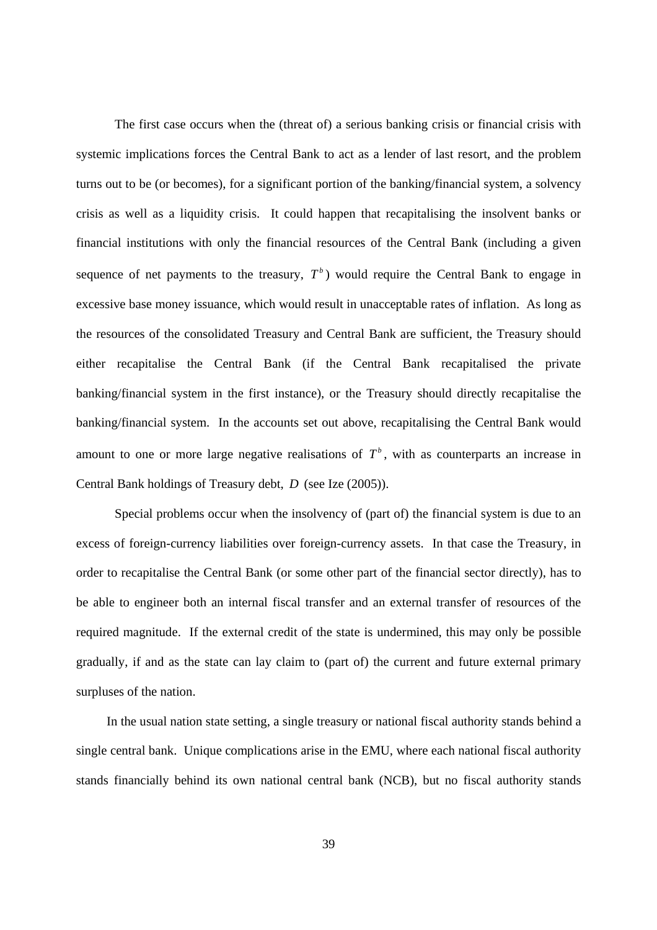The first case occurs when the (threat of) a serious banking crisis or financial crisis with systemic implications forces the Central Bank to act as a lender of last resort, and the problem turns out to be (or becomes), for a significant portion of the banking/financial system, a solvency crisis as well as a liquidity crisis. It could happen that recapitalising the insolvent banks or financial institutions with only the financial resources of the Central Bank (including a given sequence of net payments to the treasury,  $T<sup>b</sup>$ ) would require the Central Bank to engage in excessive base money issuance, which would result in unacceptable rates of inflation. As long as the resources of the consolidated Treasury and Central Bank are sufficient, the Treasury should either recapitalise the Central Bank (if the Central Bank recapitalised the private banking/financial system in the first instance), or the Treasury should directly recapitalise the banking/financial system. In the accounts set out above, recapitalising the Central Bank would amount to one or more large negative realisations of  $T<sup>b</sup>$ , with as counterparts an increase in Central Bank holdings of Treasury debt, *D* (see Ize (2005)).

Special problems occur when the insolvency of (part of) the financial system is due to an excess of foreign-currency liabilities over foreign-currency assets. In that case the Treasury, in order to recapitalise the Central Bank (or some other part of the financial sector directly), has to be able to engineer both an internal fiscal transfer and an external transfer of resources of the required magnitude. If the external credit of the state is undermined, this may only be possible gradually, if and as the state can lay claim to (part of) the current and future external primary surpluses of the nation.

 In the usual nation state setting, a single treasury or national fiscal authority stands behind a single central bank. Unique complications arise in the EMU, where each national fiscal authority stands financially behind its own national central bank (NCB), but no fiscal authority stands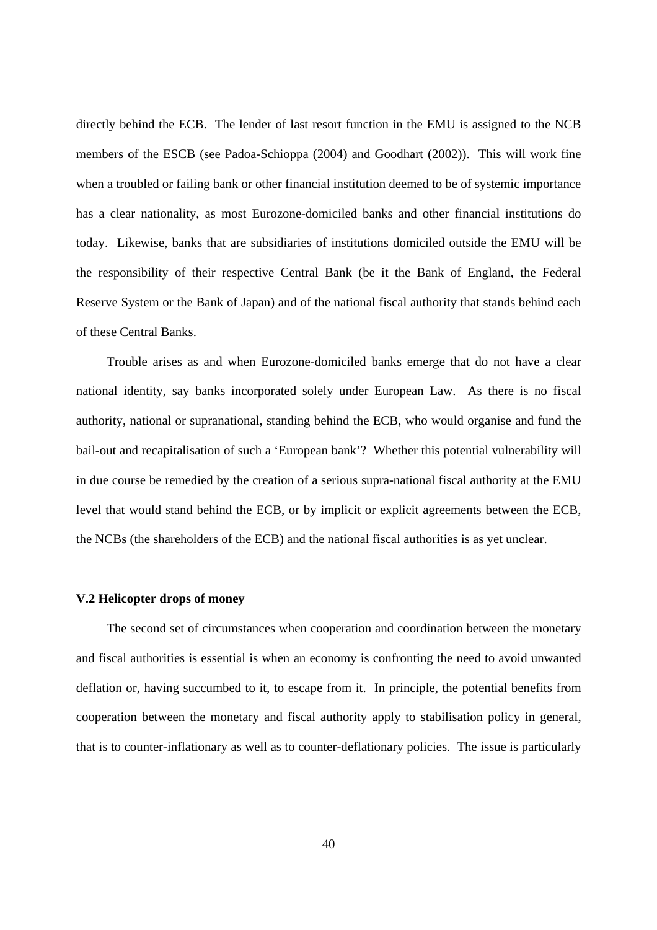directly behind the ECB. The lender of last resort function in the EMU is assigned to the NCB members of the ESCB (see Padoa-Schioppa (2004) and Goodhart (2002)). This will work fine when a troubled or failing bank or other financial institution deemed to be of systemic importance has a clear nationality, as most Eurozone-domiciled banks and other financial institutions do today. Likewise, banks that are subsidiaries of institutions domiciled outside the EMU will be the responsibility of their respective Central Bank (be it the Bank of England, the Federal Reserve System or the Bank of Japan) and of the national fiscal authority that stands behind each of these Central Banks.

 Trouble arises as and when Eurozone-domiciled banks emerge that do not have a clear national identity, say banks incorporated solely under European Law. As there is no fiscal authority, national or supranational, standing behind the ECB, who would organise and fund the bail-out and recapitalisation of such a 'European bank'? Whether this potential vulnerability will in due course be remedied by the creation of a serious supra-national fiscal authority at the EMU level that would stand behind the ECB, or by implicit or explicit agreements between the ECB, the NCBs (the shareholders of the ECB) and the national fiscal authorities is as yet unclear.

### **V.2 Helicopter drops of money**

 The second set of circumstances when cooperation and coordination between the monetary and fiscal authorities is essential is when an economy is confronting the need to avoid unwanted deflation or, having succumbed to it, to escape from it. In principle, the potential benefits from cooperation between the monetary and fiscal authority apply to stabilisation policy in general, that is to counter-inflationary as well as to counter-deflationary policies. The issue is particularly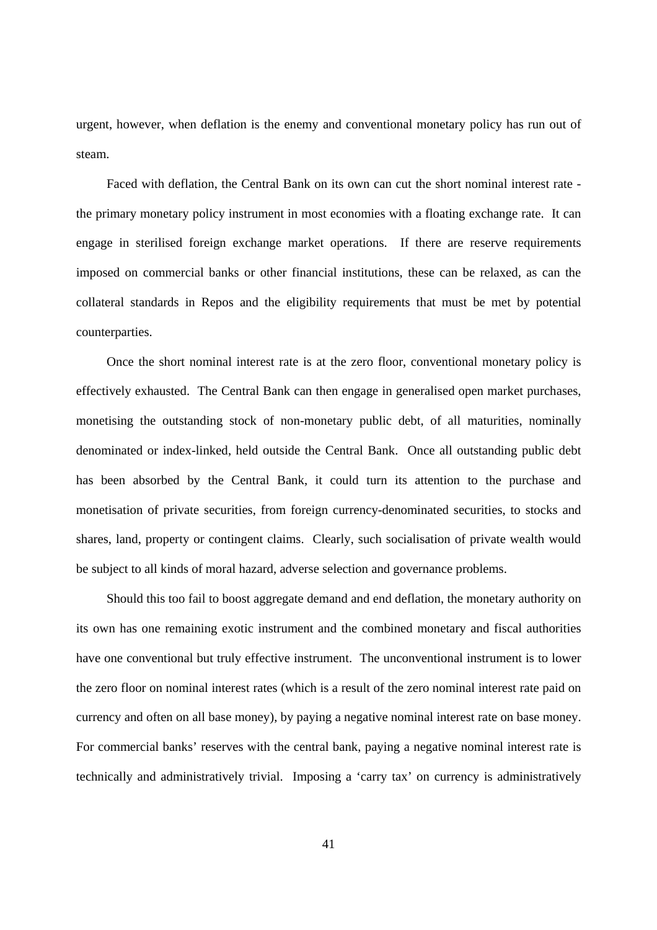urgent, however, when deflation is the enemy and conventional monetary policy has run out of steam.

 Faced with deflation, the Central Bank on its own can cut the short nominal interest rate the primary monetary policy instrument in most economies with a floating exchange rate. It can engage in sterilised foreign exchange market operations. If there are reserve requirements imposed on commercial banks or other financial institutions, these can be relaxed, as can the collateral standards in Repos and the eligibility requirements that must be met by potential counterparties.

 Once the short nominal interest rate is at the zero floor, conventional monetary policy is effectively exhausted. The Central Bank can then engage in generalised open market purchases, monetising the outstanding stock of non-monetary public debt, of all maturities, nominally denominated or index-linked, held outside the Central Bank. Once all outstanding public debt has been absorbed by the Central Bank, it could turn its attention to the purchase and monetisation of private securities, from foreign currency-denominated securities, to stocks and shares, land, property or contingent claims. Clearly, such socialisation of private wealth would be subject to all kinds of moral hazard, adverse selection and governance problems.

 Should this too fail to boost aggregate demand and end deflation, the monetary authority on its own has one remaining exotic instrument and the combined monetary and fiscal authorities have one conventional but truly effective instrument. The unconventional instrument is to lower the zero floor on nominal interest rates (which is a result of the zero nominal interest rate paid on currency and often on all base money), by paying a negative nominal interest rate on base money. For commercial banks' reserves with the central bank, paying a negative nominal interest rate is technically and administratively trivial. Imposing a 'carry tax' on currency is administratively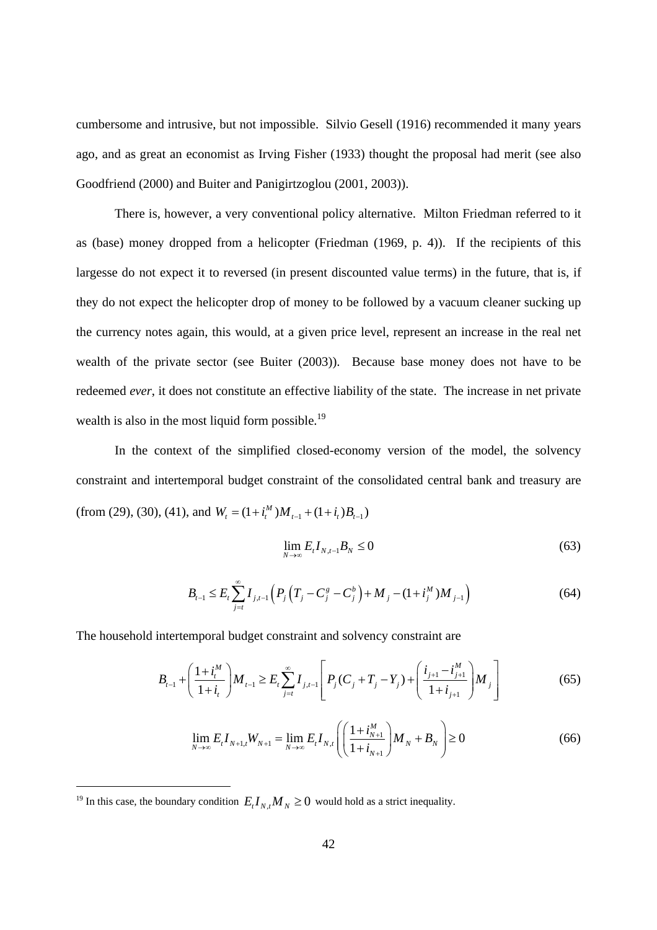cumbersome and intrusive, but not impossible. Silvio Gesell (1916) recommended it many years ago, and as great an economist as Irving Fisher (1933) thought the proposal had merit (see also Goodfriend (2000) and Buiter and Panigirtzoglou (2001, 2003)).

 There is, however, a very conventional policy alternative. Milton Friedman referred to it as (base) money dropped from a helicopter (Friedman (1969, p. 4)). If the recipients of this largesse do not expect it to reversed (in present discounted value terms) in the future, that is, if they do not expect the helicopter drop of money to be followed by a vacuum cleaner sucking up the currency notes again, this would, at a given price level, represent an increase in the real net wealth of the private sector (see Buiter (2003)). Because base money does not have to be redeemed *ever*, it does not constitute an effective liability of the state. The increase in net private wealth is also in the most liquid form possible.<sup>19</sup>

 In the context of the simplified closed-economy version of the model, the solvency constraint and intertemporal budget constraint of the consolidated central bank and treasury are (from (29), (30), (41), and  $W_t = (1 + i_t^M) M_{t-1} + (1 + i_t) B_{t-1}$ 

$$
\lim_{N \to \infty} E_t I_{N,t-1} B_N \le 0 \tag{63}
$$

$$
B_{t-1} \leq E_t \sum_{j=t}^{\infty} I_{j,t-1} \left( P_j \left( T_j - C_j^s - C_j^b \right) + M_j - (1 + i_j^M) M_{j-1} \right) \tag{64}
$$

The household intertemporal budget constraint and solvency constraint are

$$
B_{t-1} + \left(\frac{1+i_t^M}{1+i_t}\right)M_{t-1} \ge E_t \sum_{j=t}^{\infty} I_{j,t-1} \left[ P_j(C_j + T_j - Y_j) + \left(\frac{i_{j+1} - i_{j+1}^M}{1+i_{j+1}}\right)M_j \right]
$$
(65)

$$
\lim_{N \to \infty} E_t I_{N+1,t} W_{N+1} = \lim_{N \to \infty} E_t I_{N,t} \left( \left( \frac{1 + i_{N+1}^M}{1 + i_{N+1}} \right) M_N + B_N \right) \ge 0
$$
\n(66)

<sup>&</sup>lt;sup>19</sup> In this case, the boundary condition  $E_t I_{N,t} M_N \ge 0$  would hold as a strict inequality.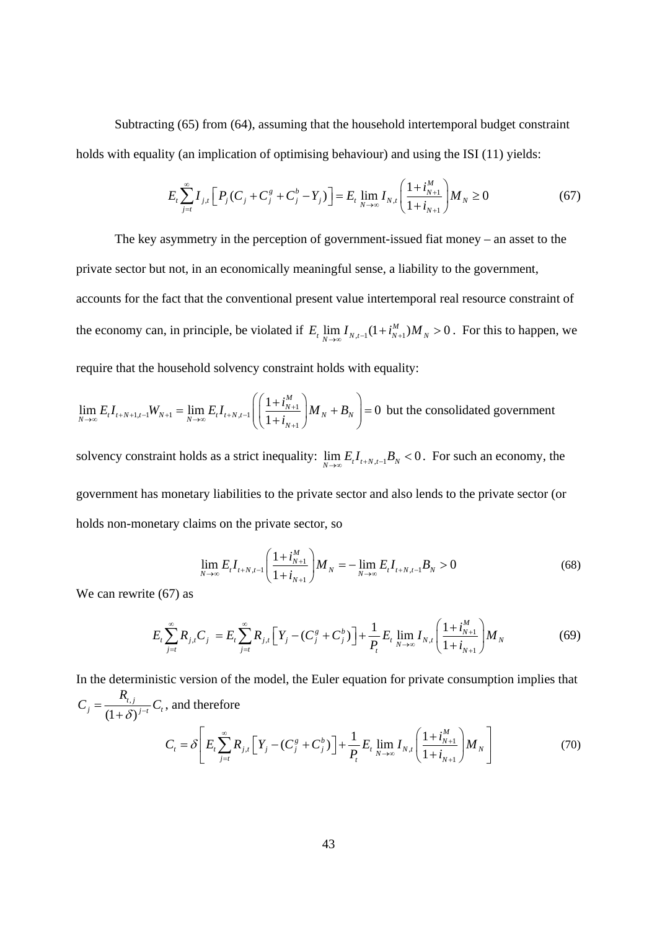Subtracting (65) from (64), assuming that the household intertemporal budget constraint holds with equality (an implication of optimising behaviour) and using the ISI (11) yields:

$$
E_{t} \sum_{j=t}^{\infty} I_{j,t} \left[ P_{j} (C_{j} + C_{j}^{g} + C_{j}^{b} - Y_{j}) \right] = E_{t} \lim_{N \to \infty} I_{N,t} \left( \frac{1 + i_{N+1}^{M}}{1 + i_{N+1}} \right) M_{N} \ge 0
$$
 (67)

The key asymmetry in the perception of government-issued fiat money – an asset to the private sector but not, in an economically meaningful sense, a liability to the government, accounts for the fact that the conventional present value intertemporal real resource constraint of the economy can, in principle, be violated if  $E_t \lim_{N \to \infty} I_{N,t-1} (1 + i_{N+1}^M) M_N > 0$ . For this to happen, we require that the household solvency constraint holds with equality:

$$
\lim_{N \to \infty} E_t I_{t+N+1,t-1} W_{N+1} = \lim_{N \to \infty} E_t I_{t+N,t-1} \left( \left( \frac{1 + i_{N+1}^M}{1 + i_{N+1}} \right) M_N + B_N \right) = 0
$$
 but the consolidated government

solvency constraint holds as a strict inequality:  $\lim_{N\to\infty} E_t I_{t+N,t-1} B_N < 0$ . For such an economy, the government has monetary liabilities to the private sector and also lends to the private sector (or holds non-monetary claims on the private sector, so

$$
\lim_{N \to \infty} E_t I_{t+N,t-1} \left( \frac{1 + i_{N+1}^M}{1 + i_{N+1}} \right) M_N = - \lim_{N \to \infty} E_t I_{t+N,t-1} B_N > 0 \tag{68}
$$

We can rewrite (67) as

$$
E_{t} \sum_{j=t}^{\infty} R_{j,t} C_{j} = E_{t} \sum_{j=t}^{\infty} R_{j,t} \Big[ Y_{j} - (C_{j}^{g} + C_{j}^{b}) \Big] + \frac{1}{P_{t}} E_{t} \lim_{N \to \infty} I_{N,t} \Big( \frac{1 + i_{N+1}^{M}}{1 + i_{N+1}} \Big) M_{N} \tag{69}
$$

In the deterministic version of the model, the Euler equation for private consumption implies that  
\n
$$
C_j = \frac{R_{i,j}}{(1+\delta)^{j-t}} C_t
$$
, and therefore  
\n
$$
C_t = \delta \left[ E_t \sum_{j=t}^{\infty} R_{j,t} \left[ Y_j - (C_j^g + C_j^b) \right] + \frac{1}{P_t} E_t \lim_{N \to \infty} I_{N,t} \left( \frac{1 + i_{N+1}^M}{1 + i_{N+1}} \right) M_N \right]
$$
(70)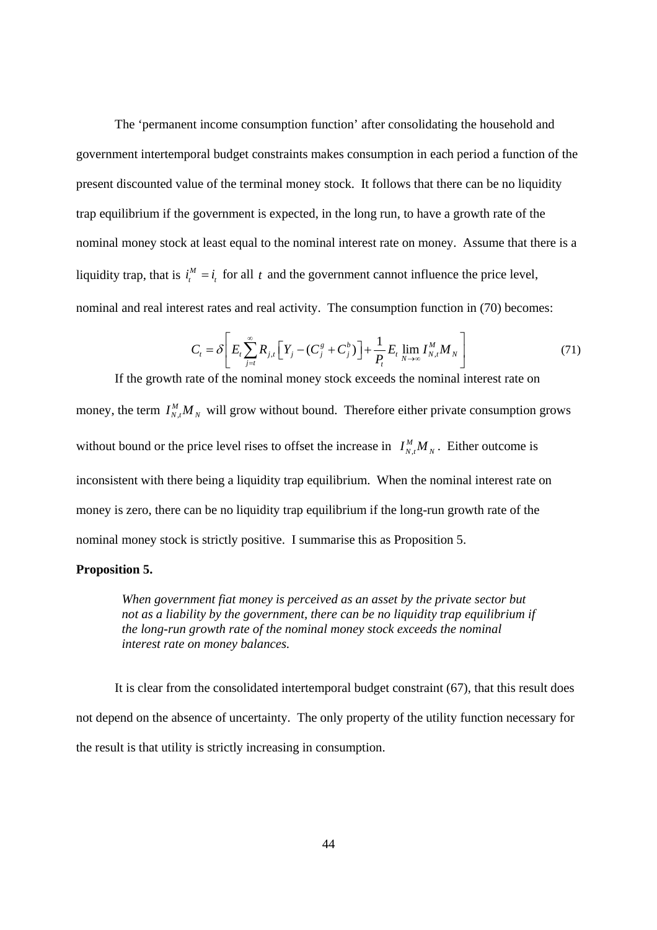The 'permanent income consumption function' after consolidating the household and government intertemporal budget constraints makes consumption in each period a function of the present discounted value of the terminal money stock. It follows that there can be no liquidity trap equilibrium if the government is expected, in the long run, to have a growth rate of the nominal money stock at least equal to the nominal interest rate on money. Assume that there is a liquidity trap, that is  $i_t^M = i_t$  for all *t* and the government cannot influence the price level, nominal and real interest rates and real activity. The consumption function in (70) becomes:

$$
C_{t} = \delta \left[ E_{t} \sum_{j=t}^{\infty} R_{j,t} \left[ Y_{j} - (C_{j}^{g} + C_{j}^{b}) \right] + \frac{1}{P_{t}} E_{t} \lim_{N \to \infty} I_{N,t}^{M} M_{N} \right] \tag{71}
$$

If the growth rate of the nominal money stock exceeds the nominal interest rate on money, the term  $I_{N,t}^M M_N$  will grow without bound. Therefore either private consumption grows without bound or the price level rises to offset the increase in  $I_{N,t}^M M_N$ . Either outcome is inconsistent with there being a liquidity trap equilibrium. When the nominal interest rate on money is zero, there can be no liquidity trap equilibrium if the long-run growth rate of the nominal money stock is strictly positive. I summarise this as Proposition 5.

#### **Proposition 5.**

*When government fiat money is perceived as an asset by the private sector but not as a liability by the government, there can be no liquidity trap equilibrium if the long-run growth rate of the nominal money stock exceeds the nominal interest rate on money balances.* 

It is clear from the consolidated intertemporal budget constraint (67), that this result does not depend on the absence of uncertainty. The only property of the utility function necessary for the result is that utility is strictly increasing in consumption.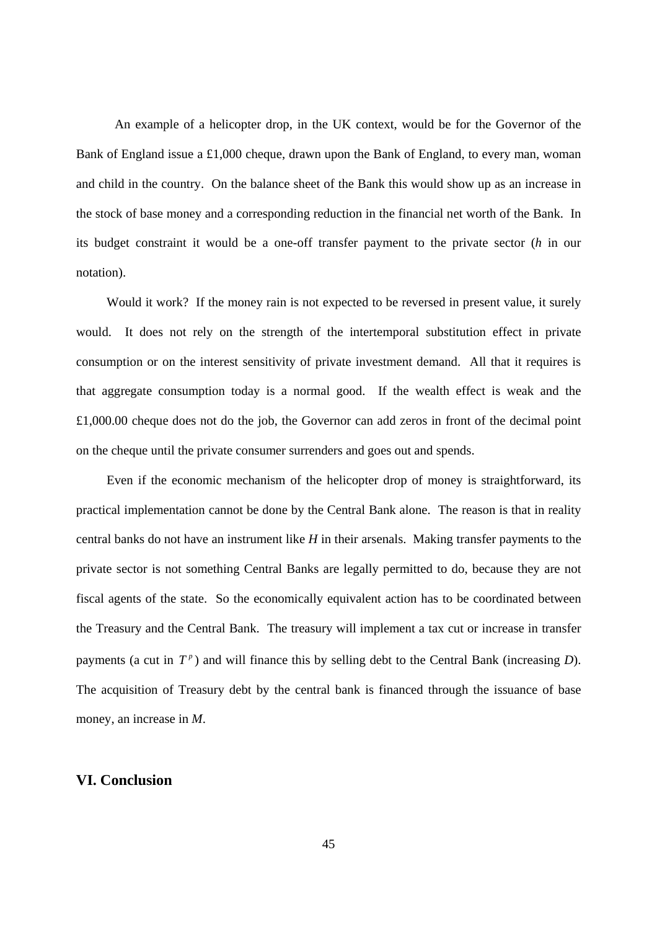An example of a helicopter drop, in the UK context, would be for the Governor of the Bank of England issue a £1,000 cheque, drawn upon the Bank of England, to every man, woman and child in the country. On the balance sheet of the Bank this would show up as an increase in the stock of base money and a corresponding reduction in the financial net worth of the Bank. In its budget constraint it would be a one-off transfer payment to the private sector (*h* in our notation).

 Would it work? If the money rain is not expected to be reversed in present value, it surely would. It does not rely on the strength of the intertemporal substitution effect in private consumption or on the interest sensitivity of private investment demand. All that it requires is that aggregate consumption today is a normal good. If the wealth effect is weak and the £1,000.00 cheque does not do the job, the Governor can add zeros in front of the decimal point on the cheque until the private consumer surrenders and goes out and spends.

 Even if the economic mechanism of the helicopter drop of money is straightforward, its practical implementation cannot be done by the Central Bank alone. The reason is that in reality central banks do not have an instrument like *H* in their arsenals. Making transfer payments to the private sector is not something Central Banks are legally permitted to do, because they are not fiscal agents of the state. So the economically equivalent action has to be coordinated between the Treasury and the Central Bank. The treasury will implement a tax cut or increase in transfer payments (a cut in  $T^p$ ) and will finance this by selling debt to the Central Bank (increasing *D*). The acquisition of Treasury debt by the central bank is financed through the issuance of base money, an increase in *M*.

### **VI. Conclusion**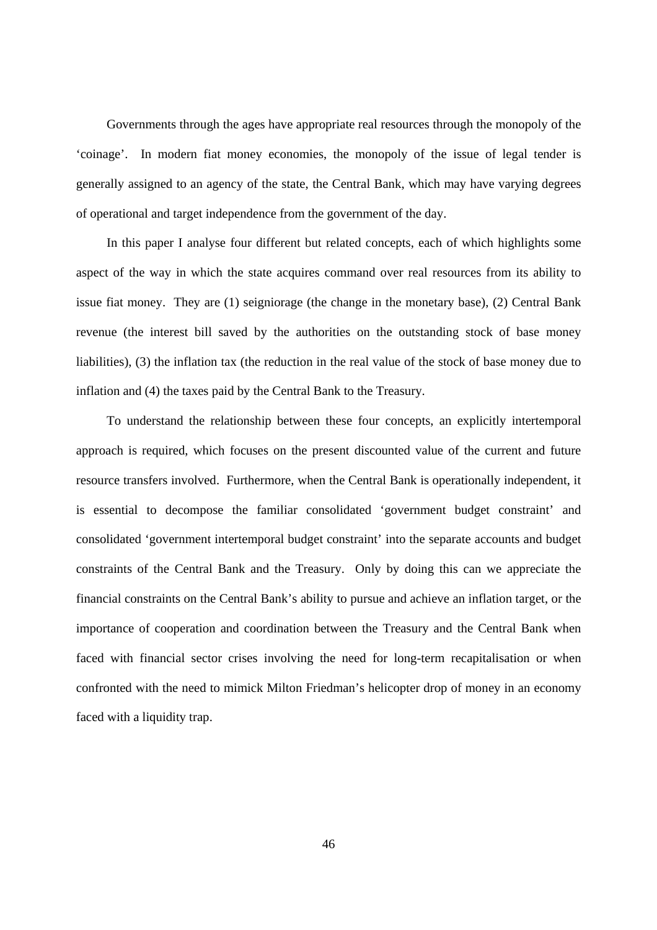Governments through the ages have appropriate real resources through the monopoly of the 'coinage'. In modern fiat money economies, the monopoly of the issue of legal tender is generally assigned to an agency of the state, the Central Bank, which may have varying degrees of operational and target independence from the government of the day.

 In this paper I analyse four different but related concepts, each of which highlights some aspect of the way in which the state acquires command over real resources from its ability to issue fiat money. They are (1) seigniorage (the change in the monetary base), (2) Central Bank revenue (the interest bill saved by the authorities on the outstanding stock of base money liabilities), (3) the inflation tax (the reduction in the real value of the stock of base money due to inflation and (4) the taxes paid by the Central Bank to the Treasury.

 To understand the relationship between these four concepts, an explicitly intertemporal approach is required, which focuses on the present discounted value of the current and future resource transfers involved. Furthermore, when the Central Bank is operationally independent, it is essential to decompose the familiar consolidated 'government budget constraint' and consolidated 'government intertemporal budget constraint' into the separate accounts and budget constraints of the Central Bank and the Treasury. Only by doing this can we appreciate the financial constraints on the Central Bank's ability to pursue and achieve an inflation target, or the importance of cooperation and coordination between the Treasury and the Central Bank when faced with financial sector crises involving the need for long-term recapitalisation or when confronted with the need to mimick Milton Friedman's helicopter drop of money in an economy faced with a liquidity trap.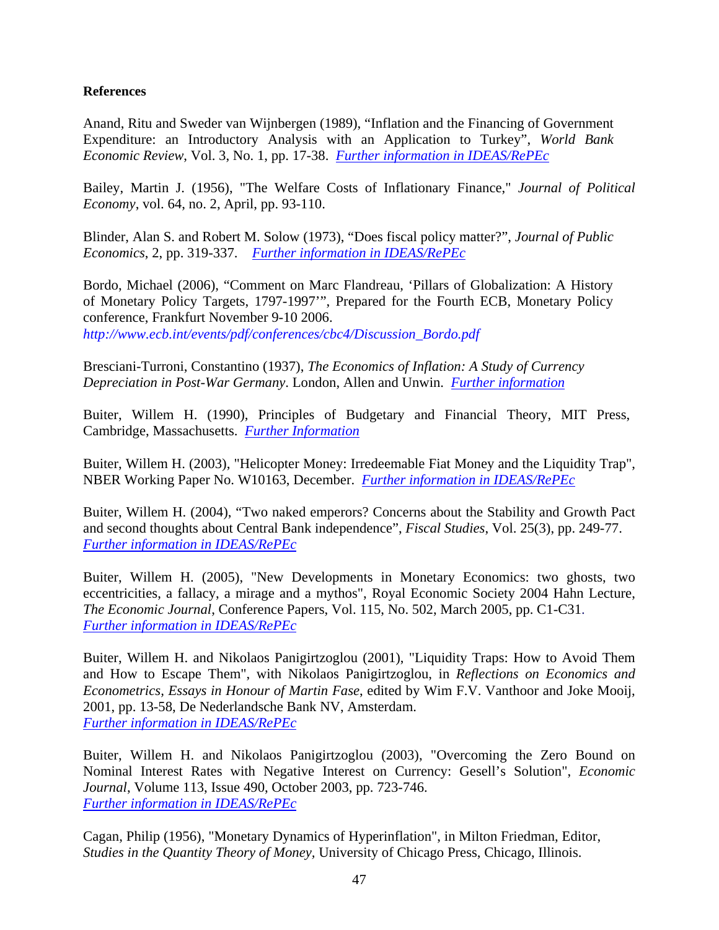### **References**

Anand, Ritu and Sweder van Wijnbergen (1989), "Inflation and the Financing of Government Expenditure: an Introductory Analysis with an Application to Turkey", *World Bank Economic Review*, Vol. 3, No. 1, pp. 17-38. *[Further information in IDEAS/RePEc](http://ideas.repec.org/a/oup/wbecrv/v3y1989i1p17-38.html)*

Bailey, Martin J. (1956), "The Welfare Costs of Inflationary Finance," *Journal of Political Economy*, vol. 64, no. 2, April, pp. 93-110.

Blinder, Alan S. and Robert M. Solow (1973), "Does fiscal policy matter?", *Journal of Public Economics*, 2, pp. 319-337. *[Further information in IDEAS/RePEc](http://ideas.repec.org/a/eee/pubeco/v2y1973i4p319-337.html)*

Bordo, Michael (2006), "Comment on Marc Flandreau, 'Pillars of Globalization: A History of Monetary Policy Targets, 1797-1997'", Prepared for the Fourth ECB, Monetary Policy conference, Frankfurt November 9-10 2006. *http://www.ecb.int/events/pdf/conferences/cbc4/Discussion\_Bordo.pdf* 

Bresciani-Turroni, Constantino (1937), *The Economics of Inflation: A Study of Currency Depreciation in Post-War Germany*. London, Allen and Unwin. *[Further information](http://www.questia.com/PM.qst?a=o&d=23309569)*

Buiter, Willem H. (1990), Principles of Budgetary and Financial Theory, MIT Press, Cambridge, Massachusetts. *[Further Information](http://mitpress.mit.edu/catalog/item/default.asp?ttype=2&tid=10222)*

Buiter, Willem H. (2003), "Helicopter Money: Irredeemable Fiat Money and the Liquidity Trap", NBER Working Paper No. W10163, December. *[Further information in IDEAS/RePEc](http://ideas.repec.org/p/nbr/nberwo/10163.html)*

Buiter, Willem H. (2004), "Two naked emperors? Concerns about the Stability and Growth Pact and second thoughts about Central Bank independence", *Fiscal Studies*, Vol. 25(3), pp. 249-77. *[Further information in IDEAS/RePEc](http://ideas.repec.org/p/cpr/ceprdp/4001.html)*

Buiter, Willem H. (2005), "New Developments in Monetary Economics: two ghosts, two eccentricities, a fallacy, a mirage and a mythos", Royal Economic Society 2004 Hahn Lecture, *The Economic Journal*, Conference Papers, Vol. 115, No. 502, March 2005, pp. C1-C31. *[Further information in IDEAS/RePEc](http://ideas.repec.org/a/ecj/econjl/v115y2005i502pc1-c31.html)*

Buiter, Willem H. and Nikolaos Panigirtzoglou (2001), "Liquidity Traps: How to Avoid Them and How to Escape Them", with Nikolaos Panigirtzoglou, in *Reflections on Economics and Econometrics, Essays in Honour of Martin Fase*, edited by Wim F.V. Vanthoor and Joke Mooij, 2001, pp. 13-58, De Nederlandsche Bank NV, Amsterdam. *[Further information in IDEAS/RePEc](http://ideas.repec.org/p/boe/boeewp/111.html)*

Buiter, Willem H. and Nikolaos Panigirtzoglou (2003), "Overcoming the Zero Bound on Nominal Interest Rates with Negative Interest on Currency: Gesell's Solution", *Economic Journal*, Volume 113, Issue 490, October 2003, pp. 723-746. *[Further information in IDEAS/RePEc](http://ideas.repec.org/p/hst/hstdps/d05-96.html)*

Cagan, Philip (1956), "Monetary Dynamics of Hyperinflation", in Milton Friedman, Editor, *Studies in the Quantity Theory of Money,* University of Chicago Press, Chicago, Illinois.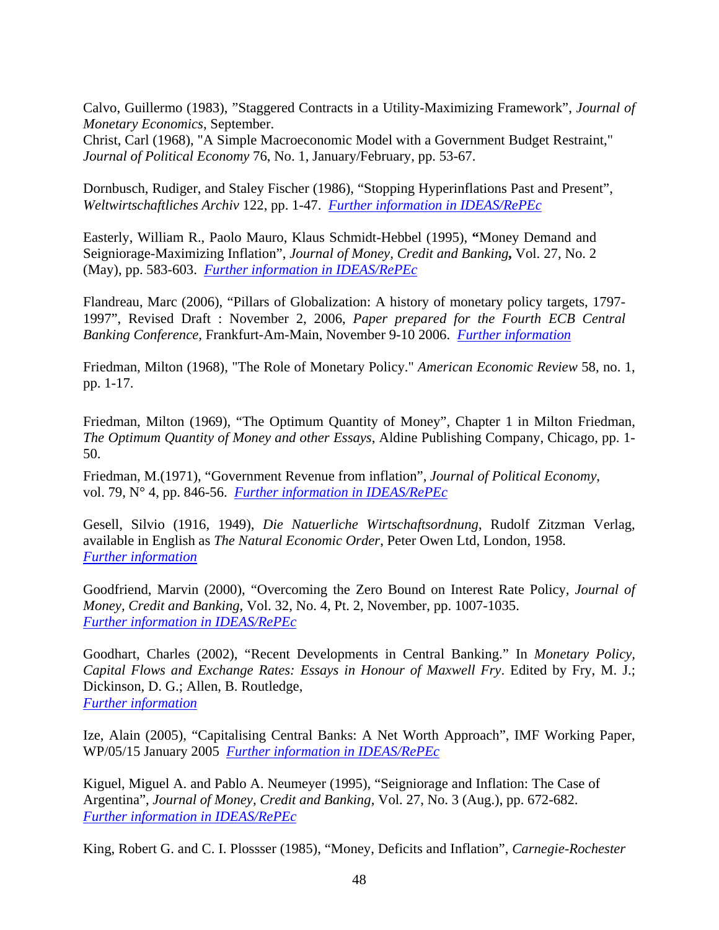Calvo, Guillermo (1983), "Staggered Contracts in a Utility-Maximizing Framework", *Journal of Monetary Economics*, September.

Christ, Carl (1968), "A Simple Macroeconomic Model with a Government Budget Restraint," *Journal of Political Economy* 76, No. 1, January/February, pp. 53-67.

Dornbusch, Rudiger, and Staley Fischer (1986), "Stopping Hyperinflations Past and Present", *Weltwirtschaftliches Archiv* 122, pp. 1-47. *[Further information in IDEAS/RePEc](http://ideas.repec.org/p/nbr/nberwo/1810.html)*

Easterly, William R., Paolo Mauro, Klaus Schmidt-Hebbel (1995), **"**Money Demand and Seigniorage-Maximizing Inflation", *Journal of Money, Credit and Banking***,** Vol. 27, No. 2 (May), pp. 583-603. *[Further information in IDEAS/RePEc](http://ideas.repec.org/p/wbk/wbrwps/1049.html)*

Flandreau, Marc (2006), "Pillars of Globalization: A history of monetary policy targets, 1797- 1997", Revised Draft : November 2, 2006, *Paper prepared for the Fourth ECB Central Banking Conference,* Frankfurt-Am-Main, November 9-10 2006. *[Further information](http://www.ecb.int/events/pdf/conferences/cbc4/Flandreau.pdf)*

Friedman, Milton (1968), "The Role of Monetary Policy." *American Economic Review* 58, no. 1, pp. 1-17.

Friedman, Milton (1969), "The Optimum Quantity of Money", Chapter 1 in Milton Friedman, *The Optimum Quantity of Money and other Essays*, Aldine Publishing Company, Chicago, pp. 1- 50.

Friedman, M.(1971), "Government Revenue from inflation", *Journal of Political Economy*, vol. 79, N° 4, pp. 846-56. *[Further information in IDEAS/RePEc](http://ideas.repec.org/a/ucp/jpolec/v79y1971i4p846-56.html)*

Gesell, Silvio (1916, 1949), *Die Natuerliche Wirtschaftsordnung*, Rudolf Zitzman Verlag, available in English as *The Natural Economic Order*, Peter Owen Ltd, London, 1958. *[Further information](http://www.systemfehler.de/en/neo/)*

Goodfriend, Marvin (2000), "Overcoming the Zero Bound on Interest Rate Policy*, Journal of Money, Credit and Banking*, Vol. 32, No. 4, Pt. 2, November, pp. 1007-1035. *[Further information in IDEAS/RePEc](http://ideas.repec.org/p/fip/fedrwp/00-03.html)*

Goodhart, Charles (2002), "Recent Developments in Central Banking." In *Monetary Policy, Capital Flows and Exchange Rates: Essays in Honour of Maxwell Fry*. Edited by Fry, M. J.; Dickinson, D. G.; Allen, B. Routledge, *[Further information](http://books.google.de/books?vid=ISBN0415251354&id=yxAle3_BZnYC&pg=PP10&lpg=PP10&ots=9Md70K2a42&dq=Monetary+Policy,+Capital+Flows+and+Exchange+Rates&sig=1KeiVZ6hsUaxIuE1nObTD_liU4M#PPP10,M1)*

Ize, Alain (2005), "Capitalising Central Banks: A Net Worth Approach", IMF Working Paper, WP/05/15 January 2005 *[Further information in IDEAS/RePEc](http://ideas.repec.org/p/imf/imfwpa/05-15.html)*

Kiguel, Miguel A. and Pablo A. Neumeyer (1995), "Seigniorage and Inflation: The Case of Argentina", *Journal of Money, Credit and Banking*, Vol. 27, No. 3 (Aug.), pp. 672-682. *[Further information in IDEAS/RePEc](http://ideas.repec.org/p/fth/socaec/9312.html)*

King, Robert G. and C. I. Plossser (1985), "Money, Deficits and Inflation", *Carnegie-Rochester*